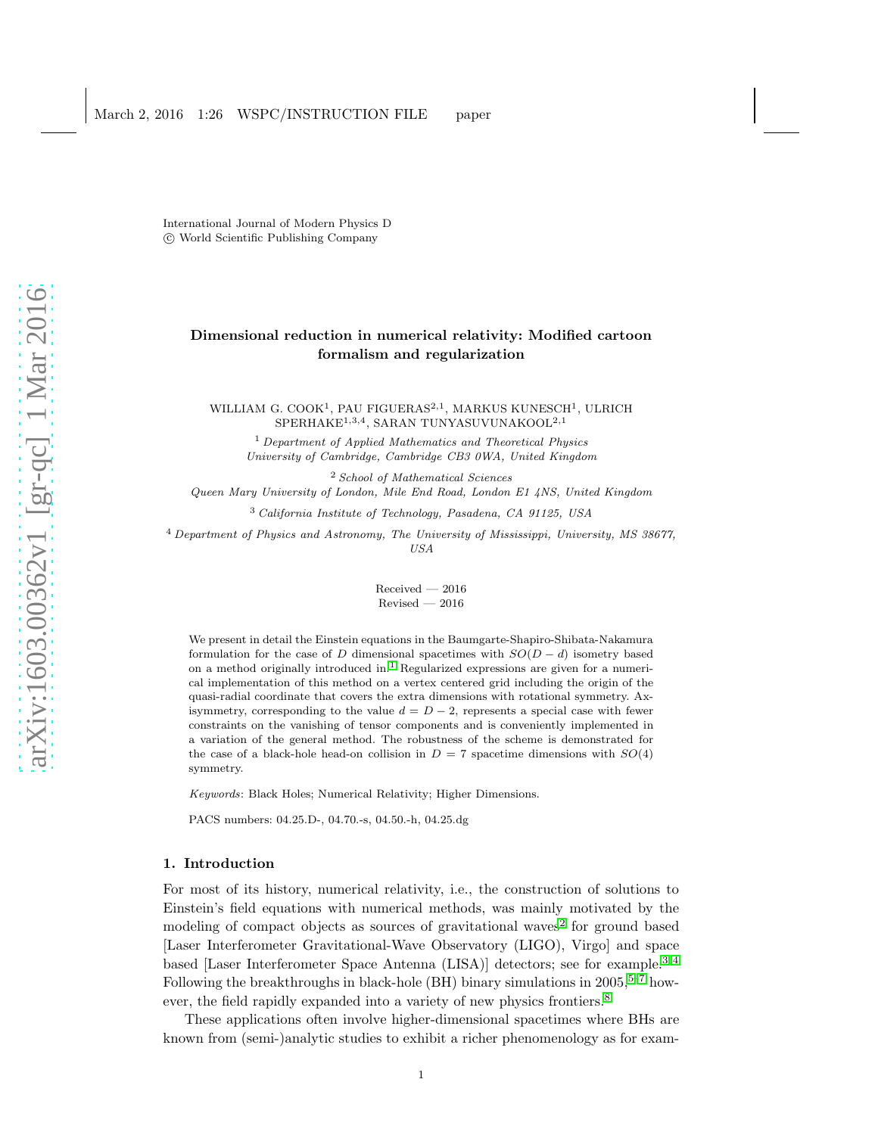International Journal of Modern Physics D c World Scientific Publishing Company

# Dimensional reduction in numerical relativity: Modified cartoon formalism and regularization

WILLIAM G. COOK<sup>1</sup>, PAU FIGUERAS<sup>2,1</sup>, MARKUS KUNESCH<sup>1</sup>, ULRICH SPERHAKE<sup>1,3,4</sup>, SARAN TUNYASUVUNAKOOL<sup>2,1</sup>

<sup>1</sup> *Department of Applied Mathematics and Theoretical Physics University of Cambridge, Cambridge CB3 0WA, United Kingdom*

<sup>2</sup> *School of Mathematical Sciences Queen Mary University of London, Mile End Road, London E1 4NS, United Kingdom*

<sup>3</sup> *California Institute of Technology, Pasadena, CA 91125, USA*

<sup>4</sup> *Department of Physics and Astronomy, The University of Mississippi, University, MS 38677, USA*

> Received — 2016 Revised — 2016

We present in detail the Einstein equations in the Baumgarte-Shapiro-Shibata-Nakamura formulation for the case of D dimensional spacetimes with  $SO(D-d)$  isometry based on a method originally introduced in. [1](#page-22-0) Regularized expressions are given for a numerical implementation of this method on a vertex centered grid including the origin of the quasi-radial coordinate that covers the extra dimensions with rotational symmetry. Axisymmetry, corresponding to the value  $d = D - 2$ , represents a special case with fewer constraints on the vanishing of tensor components and is conveniently implemented in a variation of the general method. The robustness of the scheme is demonstrated for the case of a black-hole head-on collision in  $D = 7$  spacetime dimensions with  $SO(4)$ symmetry.

*Keywords*: Black Holes; Numerical Relativity; Higher Dimensions.

PACS numbers: 04.25.D-, 04.70.-s, 04.50.-h, 04.25.dg

#### 1. Introduction

For most of its history, numerical relativity, i.e., the construction of solutions to Einstein's field equations with numerical methods, was mainly motivated by the modeling of compact objects as sources of gravitational waves [2](#page-22-1) for ground based [Laser Interferometer Gravitational-Wave Observatory (LIGO), Virgo] and space based [Laser Interferometer Space Antenna (LISA)] detectors; see for example.[3,](#page-22-2) [4](#page-22-3) Following the breakthroughs in black-hole (BH) binary simulations in  $2005$ <sup>5-[7](#page-22-5)</sup> how-ever, the field rapidly expanded into a variety of new physics frontiers.<sup>[8](#page-22-6)</sup>

These applications often involve higher-dimensional spacetimes where BHs are known from (semi-)analytic studies to exhibit a richer phenomenology as for exam-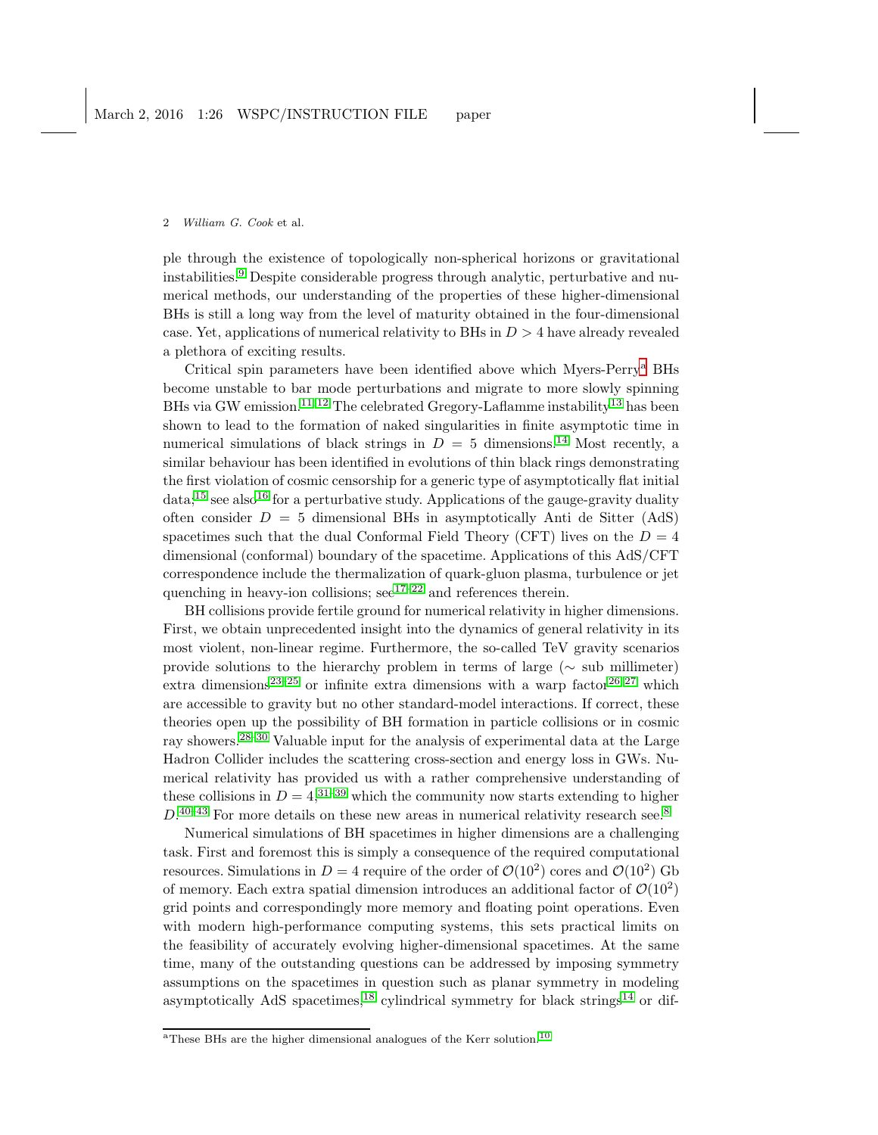ple through the existence of topologically non-spherical horizons or gravitational instabilities.[9](#page-22-7) Despite considerable progress through analytic, perturbative and numerical methods, our understanding of the properties of these higher-dimensional BHs is still a long way from the level of maturity obtained in the four-dimensional case. Yet, applications of numerical relativity to BHs in  $D > 4$  have already revealed a plethora of exciting results.

Critical spin parameters have been identified above which Myers-Perry[a](#page-1-0) BHs become unstable to bar mode perturbations and migrate to more slowly spinning BHs via GW emission.<sup>[11,](#page-22-8) [12](#page-22-9)</sup> The celebrated Gregory-Laflamme instability<sup>[13](#page-22-10)</sup> has been shown to lead to the formation of naked singularities in finite asymptotic time in numerical simulations of black strings in  $D = 5$  dimensions.<sup>[14](#page-22-11)</sup> Most recently, a similar behaviour has been identified in evolutions of thin black rings demonstrating the first violation of cosmic censorship for a generic type of asymptotically flat initial  $data$ <sup>[15](#page-22-12)</sup> see also<sup>[16](#page-22-13)</sup> for a perturbative study. Applications of the gauge-gravity duality often consider  $D = 5$  dimensional BHs in asymptotically Anti de Sitter (AdS) spacetimes such that the dual Conformal Field Theory (CFT) lives on the  $D = 4$ dimensional (conformal) boundary of the spacetime. Applications of this AdS/CFT correspondence include the thermalization of quark-gluon plasma, turbulence or jet quenching in heavy-ion collisions;  $\sec^{17-22}$  $\sec^{17-22}$  $\sec^{17-22}$  and references therein.

BH collisions provide fertile ground for numerical relativity in higher dimensions. First, we obtain unprecedented insight into the dynamics of general relativity in its most violent, non-linear regime. Furthermore, the so-called TeV gravity scenarios provide solutions to the hierarchy problem in terms of large ( $\sim$  sub millimeter) extra dimensions<sup>[23](#page-23-1)[–25](#page-23-2)</sup> or infinite extra dimensions with a warp factor<sup>[26,](#page-23-3)27</sup> which are accessible to gravity but no other standard-model interactions. If correct, these theories open up the possibility of BH formation in particle collisions or in cosmic ray showers.[28–](#page-23-5)[30](#page-23-6) Valuable input for the analysis of experimental data at the Large Hadron Collider includes the scattering cross-section and energy loss in GWs. Numerical relativity has provided us with a rather comprehensive understanding of these collisions in  $D = 4,3^{1-39}$  $D = 4,3^{1-39}$  $D = 4,3^{1-39}$  which the community now starts extending to higher  $D^{40-43}$  $D^{40-43}$  $D^{40-43}$  For more details on these new areas in numerical relativity research see.<sup>[8](#page-22-6)</sup>

Numerical simulations of BH spacetimes in higher dimensions are a challenging task. First and foremost this is simply a consequence of the required computational resources. Simulations in  $D = 4$  require of the order of  $\mathcal{O}(10^2)$  cores and  $\mathcal{O}(10^2)$  Gb of memory. Each extra spatial dimension introduces an additional factor of  $\mathcal{O}(10^2)$ grid points and correspondingly more memory and floating point operations. Even with modern high-performance computing systems, this sets practical limits on the feasibility of accurately evolving higher-dimensional spacetimes. At the same time, many of the outstanding questions can be addressed by imposing symmetry assumptions on the spacetimes in question such as planar symmetry in modeling asymptotically AdS spacetimes,<sup>[18](#page-22-15)</sup> cylindrical symmetry for black strings<sup>[14](#page-22-11)</sup> or dif-

<span id="page-1-0"></span><sup>&</sup>lt;sup>a</sup>These BHs are the higher dimensional analogues of the Kerr solution.<sup>[10](#page-22-16)</sup>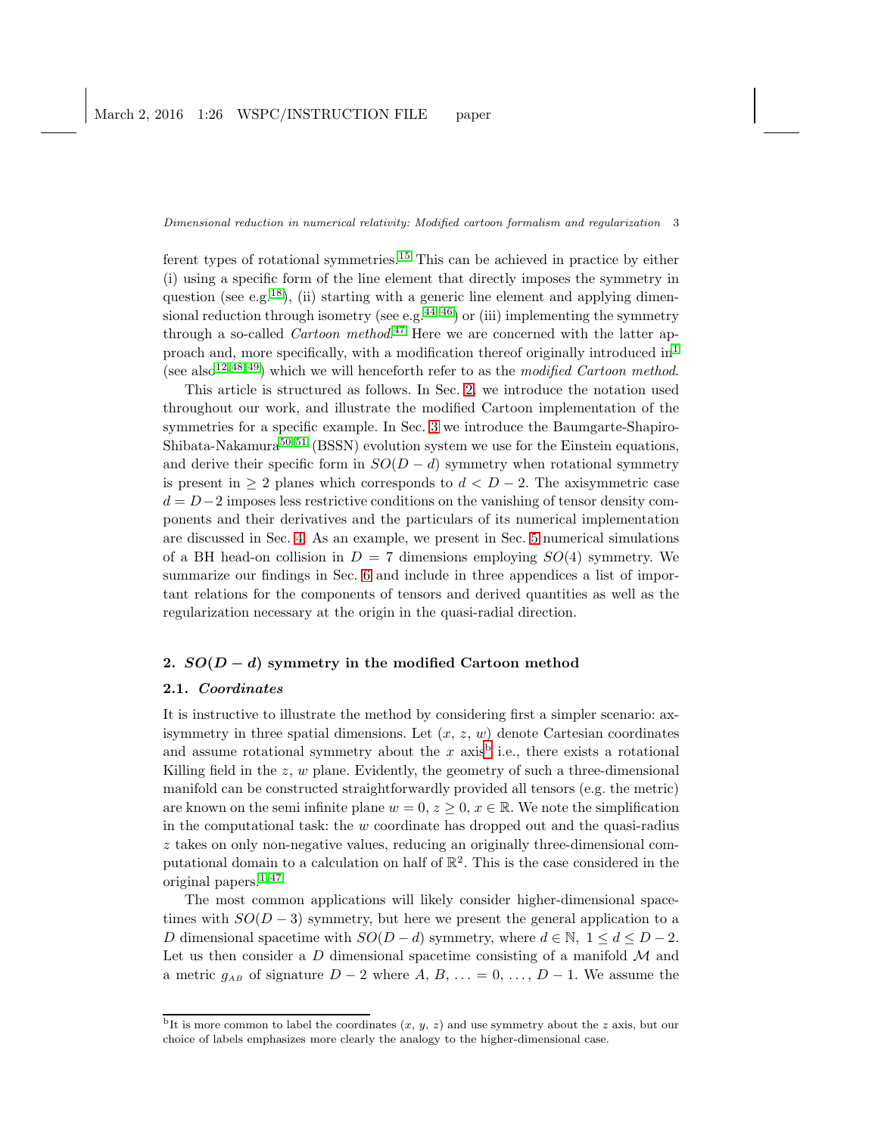ferent types of rotational symmetries.[15](#page-22-12) This can be achieved in practice by either (i) using a specific form of the line element that directly imposes the symmetry in question (see e.g.<sup>[18](#page-22-15)</sup>), (ii) starting with a generic line element and applying dimensional reduction through isometry (see e.g.  $44-46$  $44-46$ ) or (iii) implementing the symmetry through a so-called *Cartoon method*.<sup>[47](#page-23-13)</sup> Here we are concerned with the latter approach and, more specifically, with a modification thereof originally introduced  $in<sup>1</sup>$  $in<sup>1</sup>$  $in<sup>1</sup>$ (see also<sup>[12,](#page-22-9) [48,](#page-23-14) [49](#page-23-15)</sup>) which we will henceforth refer to as the modified Cartoon method.

This article is structured as follows. In Sec. [2,](#page-2-0) we introduce the notation used throughout our work, and illustrate the modified Cartoon implementation of the symmetries for a specific example. In Sec. [3](#page-5-0) we introduce the Baumgarte-Shapiro-Shibata-Nakamura<sup>[50,](#page-23-16) [51](#page-24-0)</sup> (BSSN) evolution system we use for the Einstein equations, and derive their specific form in  $SO(D - d)$  symmetry when rotational symmetry is present in  $> 2$  planes which corresponds to  $d < D-2$ . The axisymmetric case  $d = D-2$  imposes less restrictive conditions on the vanishing of tensor density components and their derivatives and the particulars of its numerical implementation are discussed in Sec. [4.](#page-10-0) As an example, we present in Sec. [5](#page-11-0) numerical simulations of a BH head-on collision in  $D = 7$  dimensions employing  $SO(4)$  symmetry. We summarize our findings in Sec. [6](#page-14-0) and include in three appendices a list of important relations for the components of tensors and derived quantities as well as the regularization necessary at the origin in the quasi-radial direction.

# <span id="page-2-0"></span>2.  $SO(D-d)$  symmetry in the modified Cartoon method

# 2.1. Coordinates

It is instructive to illustrate the method by considering first a simpler scenario: axisymmetry in three spatial dimensions. Let  $(x, z, w)$  denote Cartesian coordinates and assume rotational symmetry a[b](#page-2-1)out the  $x$  axis<sup>b</sup> i.e., there exists a rotational Killing field in the  $z, w$  plane. Evidently, the geometry of such a three-dimensional manifold can be constructed straightforwardly provided all tensors (e.g. the metric) are known on the semi-infinite plane  $w = 0, z \geq 0, x \in \mathbb{R}$ . We note the simplification in the computational task: the  $w$  coordinate has dropped out and the quasi-radius z takes on only non-negative values, reducing an originally three-dimensional computational domain to a calculation on half of  $\mathbb{R}^2$ . This is the case considered in the original papers.[1,](#page-22-0) [47](#page-23-13)

The most common applications will likely consider higher-dimensional spacetimes with  $SO(D-3)$  symmetry, but here we present the general application to a D dimensional spacetime with  $SO(D - d)$  symmetry, where  $d \in \mathbb{N}$ ,  $1 \leq d \leq D - 2$ . Let us then consider a D dimensional spacetime consisting of a manifold  $\mathcal M$  and a metric  $g_{AB}$  of signature  $D-2$  where  $A, B, \ldots = 0, \ldots, D-1$ . We assume the

<span id="page-2-1"></span><sup>&</sup>lt;sup>b</sup>It is more common to label the coordinates  $(x, y, z)$  and use symmetry about the z axis, but our choice of labels emphasizes more clearly the analogy to the higher-dimensional case.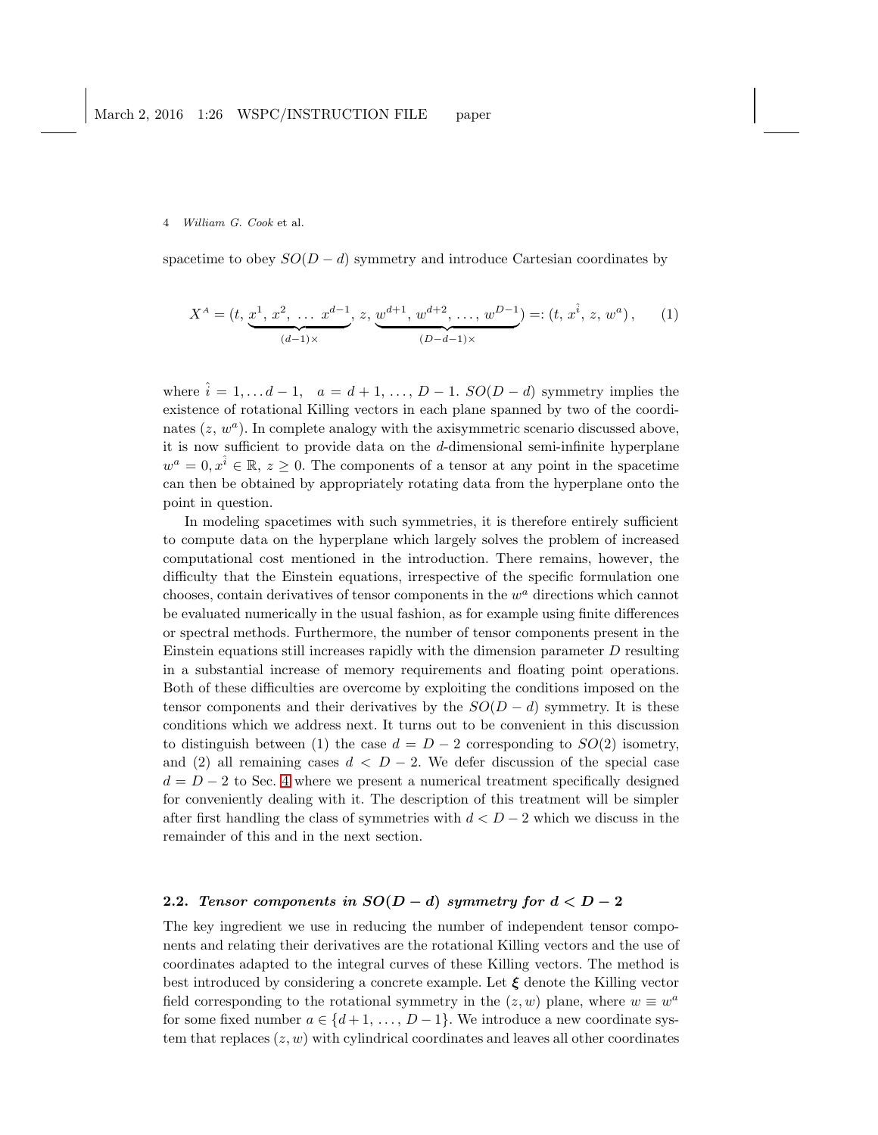spacetime to obey  $SO(D - d)$  symmetry and introduce Cartesian coordinates by

$$
X^{A} = (t, \underbrace{x^{1}, x^{2}, \dots x^{d-1}}_{(d-1)\times}, z, \underbrace{w^{d+1}, w^{d+2}, \dots, w^{D-1}}_{(D-d-1)\times}) =: (t, x^{\hat{i}}, z, w^{a}), \quad (1)
$$

where  $\hat{i} = 1, \ldots d - 1$ ,  $a = d + 1, \ldots, D - 1$ .  $SO(D - d)$  symmetry implies the existence of rotational Killing vectors in each plane spanned by two of the coordinates  $(z, w<sup>a</sup>)$ . In complete analogy with the axisymmetric scenario discussed above, it is now sufficient to provide data on the d-dimensional semi-infinite hyperplane  $w^a = 0, x^{\hat{i}} \in \mathbb{R}, z \ge 0$ . The components of a tensor at any point in the spacetime can then be obtained by appropriately rotating data from the hyperplane onto the point in question.

In modeling spacetimes with such symmetries, it is therefore entirely sufficient to compute data on the hyperplane which largely solves the problem of increased computational cost mentioned in the introduction. There remains, however, the difficulty that the Einstein equations, irrespective of the specific formulation one chooses, contain derivatives of tensor components in the  $w^a$  directions which cannot be evaluated numerically in the usual fashion, as for example using finite differences or spectral methods. Furthermore, the number of tensor components present in the Einstein equations still increases rapidly with the dimension parameter  $D$  resulting in a substantial increase of memory requirements and floating point operations. Both of these difficulties are overcome by exploiting the conditions imposed on the tensor components and their derivatives by the  $SO(D-d)$  symmetry. It is these conditions which we address next. It turns out to be convenient in this discussion to distinguish between (1) the case  $d = D - 2$  corresponding to  $SO(2)$  isometry, and (2) all remaining cases  $d < D - 2$ . We defer discussion of the special case  $d = D - 2$  to Sec. [4](#page-10-0) where we present a numerical treatment specifically designed for conveniently dealing with it. The description of this treatment will be simpler after first handling the class of symmetries with  $d < D-2$  which we discuss in the remainder of this and in the next section.

# <span id="page-3-0"></span>2.2. Tensor components in  $SO(D-d)$  symmetry for  $d < D-2$

The key ingredient we use in reducing the number of independent tensor components and relating their derivatives are the rotational Killing vectors and the use of coordinates adapted to the integral curves of these Killing vectors. The method is best introduced by considering a concrete example. Let  $\xi$  denote the Killing vector field corresponding to the rotational symmetry in the  $(z, w)$  plane, where  $w \equiv w^a$ for some fixed number  $a \in \{d+1, \ldots, D-1\}$ . We introduce a new coordinate system that replaces  $(z, w)$  with cylindrical coordinates and leaves all other coordinates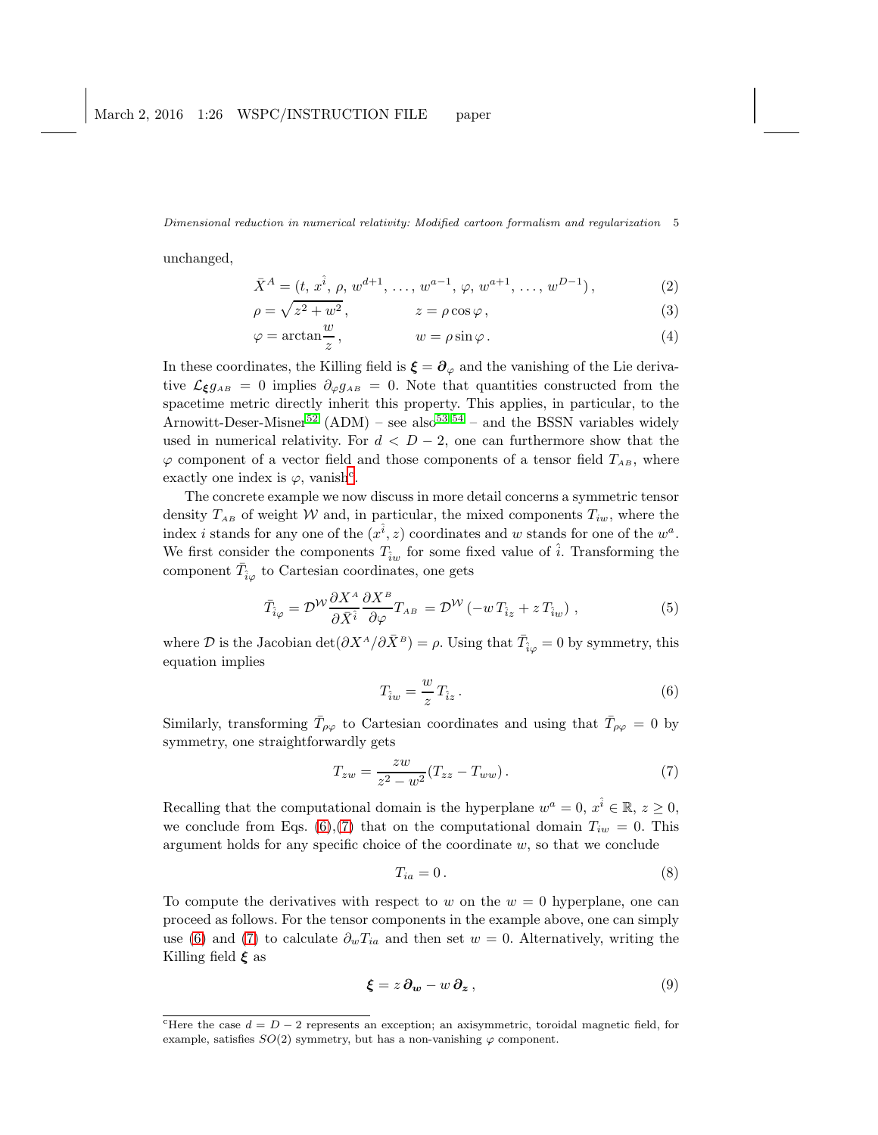unchanged,

$$
\bar{X}^{A} = (t, x^{\hat{i}}, \rho, w^{d+1}, \dots, w^{a-1}, \varphi, w^{a+1}, \dots, w^{D-1}),
$$
\n(2)

$$
\rho = \sqrt{z^2 + w^2}, \qquad z = \rho \cos \varphi, \qquad (3)
$$

$$
\varphi = \arctan\frac{w}{z}, \qquad \qquad w = \rho \sin\varphi. \tag{4}
$$

In these coordinates, the Killing field is  $\boldsymbol{\xi} = \boldsymbol{\partial}_{\varphi}$  and the vanishing of the Lie derivative  $\mathcal{L}_{\xi}g_{AB} = 0$  implies  $\partial_{\varphi}g_{AB} = 0$ . Note that quantities constructed from the spacetime metric directly inherit this property. This applies, in particular, to the Arnowitt-Deser-Misner<sup>[52](#page-24-1)</sup> (ADM) – see also<sup>[53,](#page-24-2)54</sup> – and the BSSN variables widely used in numerical relativity. For  $d < D-2$ , one can furthermore show that the  $\varphi$  component of a vector field and those components of a tensor field  $T_{AB}$ , where exa[c](#page-4-0)tly one index is  $\varphi$ , vanish<sup>c</sup>.

The concrete example we now discuss in more detail concerns a symmetric tensor density  $T_{AB}$  of weight W and, in particular, the mixed components  $T_{iw}$ , where the index *i* stands for any one of the  $(x^{\hat{i}}, z)$  coordinates and w stands for one of the  $w^a$ . We first consider the components  $T_{\hat{i}w}$  for some fixed value of  $\hat{i}$ . Transforming the component  $\bar{T}_{\hat{i}\varphi}$  to Cartesian coordinates, one gets

$$
\bar{T}_{\hat{i}\varphi} = \mathcal{D}^{\mathcal{W}} \frac{\partial X^{\scriptscriptstyle A}}{\partial \bar{X}^{\hat{i}}} \frac{\partial X^{\scriptscriptstyle B}}{\partial \varphi} T_{\scriptscriptstyle AB} = \mathcal{D}^{\mathcal{W}} \left( -w \, T_{\hat{i}z} + z \, T_{\hat{i}w} \right) \,, \tag{5}
$$

where  $\mathcal D$  is the Jacobian det $(\partial X^A/\partial \bar X^B) = \rho$ . Using that  $\bar T_{\hat i\varphi} = 0$  by symmetry, this equation implies

<span id="page-4-1"></span>
$$
T_{\hat{i}w} = \frac{w}{z} T_{\hat{i}z} \,. \tag{6}
$$

Similarly, transforming  $\bar{T}_{\rho\varphi}$  to Cartesian coordinates and using that  $\bar{T}_{\rho\varphi} = 0$  by symmetry, one straightforwardly gets

<span id="page-4-2"></span>
$$
T_{zw} = \frac{zw}{z^2 - w^2} (T_{zz} - T_{ww}).
$$
\n(7)

Recalling that the computational domain is the hyperplane  $w^a = 0$ ,  $x^{\hat{i}} \in \mathbb{R}$ ,  $z \ge 0$ , we conclude from Eqs. [\(6\)](#page-4-1),[\(7\)](#page-4-2) that on the computational domain  $T_{iw} = 0$ . This argument holds for any specific choice of the coordinate  $w$ , so that we conclude

$$
T_{ia} = 0. \t\t(8)
$$

To compute the derivatives with respect to w on the  $w = 0$  hyperplane, one can proceed as follows. For the tensor components in the example above, one can simply use [\(6\)](#page-4-1) and [\(7\)](#page-4-2) to calculate  $\partial_w T_{ia}$  and then set  $w = 0$ . Alternatively, writing the Killing field  $\xi$  as

$$
\boldsymbol{\xi} = z \, \partial_{\boldsymbol{w}} - w \, \partial_{\boldsymbol{z}} \,, \tag{9}
$$

<span id="page-4-0"></span>Fiere the case  $d = D - 2$  represents an exception; an axisymmetric, toroidal magnetic field, for example, satisfies  $SO(2)$  symmetry, but has a non-vanishing  $\varphi$  component.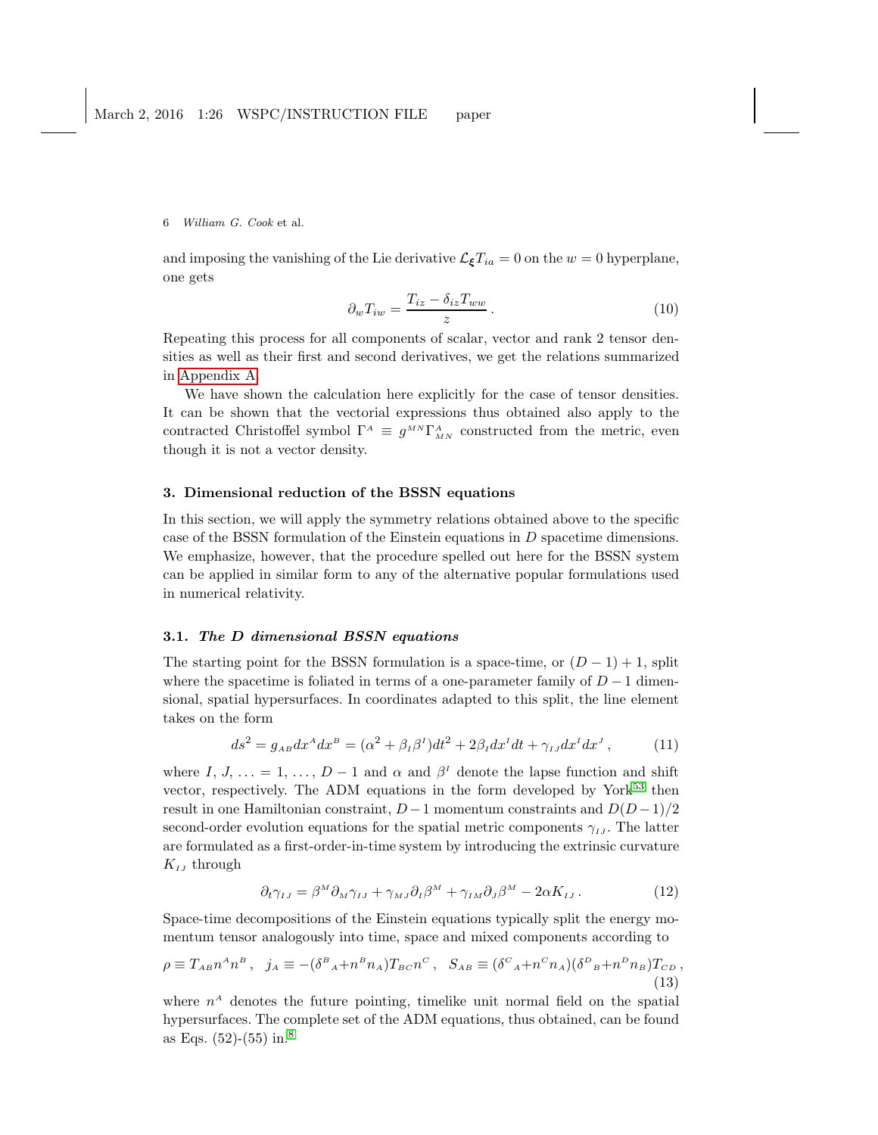and imposing the vanishing of the Lie derivative  $\mathcal{L}_{\xi}T_{ia} = 0$  on the  $w = 0$  hyperplane, one gets

$$
\partial_w T_{iw} = \frac{T_{iz} - \delta_{iz} T_{ww}}{z} \,. \tag{10}
$$

Repeating this process for all components of scalar, vector and rank 2 tensor densities as well as their first and second derivatives, we get the relations summarized in [Appendix A.](#page-15-0)

We have shown the calculation here explicitly for the case of tensor densities. It can be shown that the vectorial expressions thus obtained also apply to the contracted Christoffel symbol  $\Gamma^A \equiv g^{MN} \Gamma^A_{MN}$  constructed from the metric, even though it is not a vector density.

## <span id="page-5-0"></span>3. Dimensional reduction of the BSSN equations

In this section, we will apply the symmetry relations obtained above to the specific case of the BSSN formulation of the Einstein equations in  $D$  spacetime dimensions. We emphasize, however, that the procedure spelled out here for the BSSN system can be applied in similar form to any of the alternative popular formulations used in numerical relativity.

### 3.1. The D dimensional BSSN equations

The starting point for the BSSN formulation is a space-time, or  $(D-1) + 1$ , split where the spacetime is foliated in terms of a one-parameter family of  $D-1$  dimensional, spatial hypersurfaces. In coordinates adapted to this split, the line element takes on the form

$$
ds^2 = g_{AB}dx^A dx^B = (\alpha^2 + \beta_I \beta^I)dt^2 + 2\beta_I dx^I dt + \gamma_{IJ} dx^I dx^J, \qquad (11)
$$

where I,  $J, \ldots = 1, \ldots, D-1$  and  $\alpha$  and  $\beta<sup>I</sup>$  denote the lapse function and shift vector, respectively. The ADM equations in the form developed by York<sup>[53](#page-24-2)</sup> then result in one Hamiltonian constraint,  $D-1$  momentum constraints and  $D(D-1)/2$ second-order evolution equations for the spatial metric components  $\gamma_{IJ}$ . The latter are formulated as a first-order-in-time system by introducing the extrinsic curvature  $K_{IJ}$  through

$$
\partial_t \gamma_{IJ} = \beta^M \partial_M \gamma_{IJ} + \gamma_{MJ} \partial_I \beta^M + \gamma_{IM} \partial_J \beta^M - 2\alpha K_{IJ} \,. \tag{12}
$$

Space-time decompositions of the Einstein equations typically split the energy momentum tensor analogously into time, space and mixed components according to

$$
\rho \equiv T_{AB} n^A n^B \,, \quad j_A \equiv -(\delta^B{}_A + n^B n_A) T_{BC} n^C \,, \quad S_{AB} \equiv (\delta^C{}_A + n^C n_A) (\delta^D{}_B + n^D n_B) T_{CD} \,, \tag{13}
$$

where  $n<sup>A</sup>$  denotes the future pointing, timelike unit normal field on the spatial hypersurfaces. The complete set of the ADM equations, thus obtained, can be found as Eqs. (52)-(55) in.[8](#page-22-6)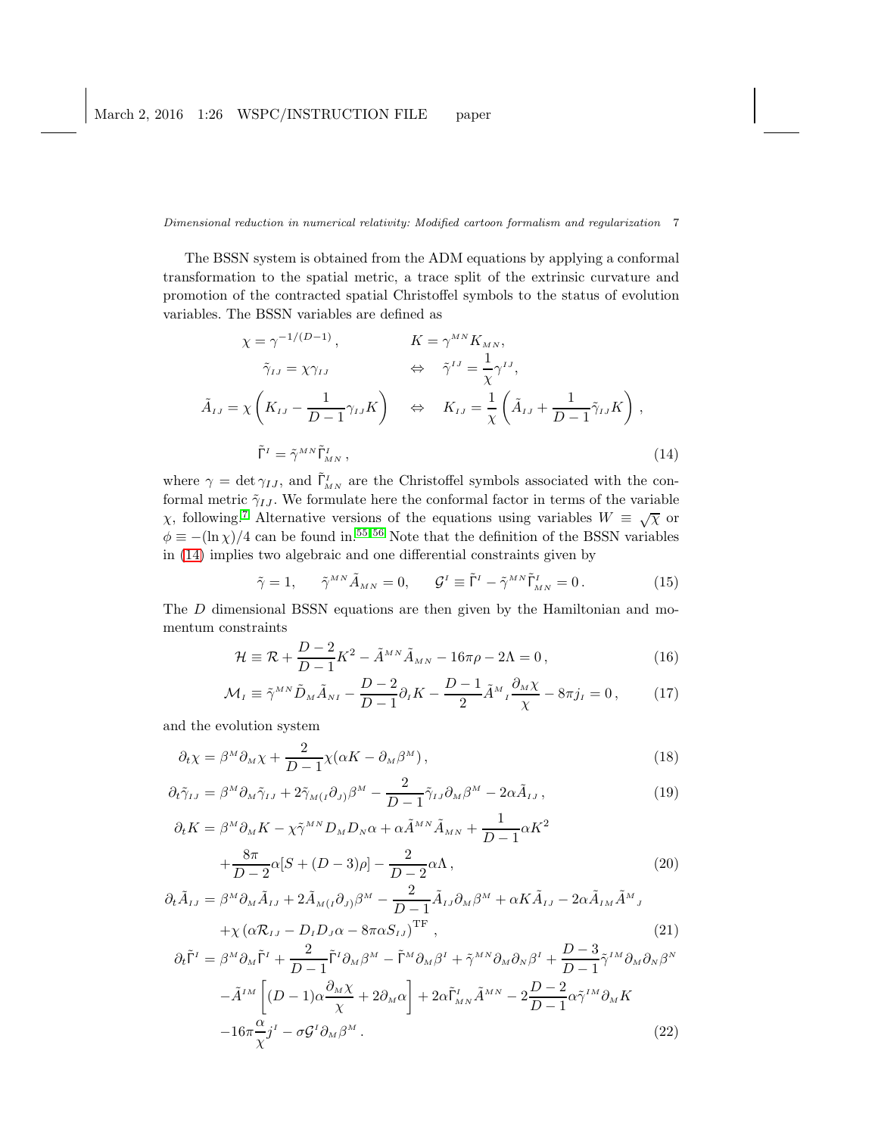The BSSN system is obtained from the ADM equations by applying a conformal transformation to the spatial metric, a trace split of the extrinsic curvature and promotion of the contracted spatial Christoffel symbols to the status of evolution variables. The BSSN variables are defined as

<span id="page-6-0"></span>
$$
\chi = \gamma^{-1/(D-1)}, \qquad K = \gamma^{MN} K_{MN},
$$
  
\n
$$
\tilde{\gamma}_{IJ} = \chi \gamma_{IJ} \qquad \Leftrightarrow \qquad \tilde{\gamma}^{IJ} = \frac{1}{\chi} \gamma^{IJ},
$$
  
\n
$$
\tilde{A}_{IJ} = \chi \left( K_{IJ} - \frac{1}{D-1} \gamma_{IJ} K \right) \qquad \Leftrightarrow \qquad K_{IJ} = \frac{1}{\chi} \left( \tilde{A}_{IJ} + \frac{1}{D-1} \tilde{\gamma}_{IJ} K \right),
$$
  
\n
$$
\tilde{\Gamma}^I = \tilde{\gamma}^{MN} \tilde{\Gamma}^I_{MN},
$$
\n(14)

where  $\gamma = \det \gamma_{IJ}$ , and  $\tilde{\Gamma}^I_{MN}$  are the Christoffel symbols associated with the conformal metric  $\tilde{\gamma}_{IJ}$ . We formulate here the conformal factor in terms of the variable <sup>χ</sup>, following.[7](#page-22-5) Alternative versions of the equations using variables <sup>W</sup> <sup>≡</sup> √χ or  $\phi \equiv -(\ln \chi)/4$  can be found in.<sup>[55,](#page-24-4)56</sup> Note that the definition of the BSSN variables in [\(14\)](#page-6-0) implies two algebraic and one differential constraints given by

$$
\tilde{\gamma} = 1, \qquad \tilde{\gamma}^{MN} \tilde{A}_{MN} = 0, \qquad \mathcal{G}^I \equiv \tilde{\Gamma}^I - \tilde{\gamma}^{MN} \tilde{\Gamma}^I_{MN} = 0. \tag{15}
$$

The D dimensional BSSN equations are then given by the Hamiltonian and momentum constraints

<span id="page-6-2"></span>
$$
\mathcal{H} \equiv \mathcal{R} + \frac{D-2}{D-1}K^2 - \tilde{A}^{MN}\tilde{A}_{MN} - 16\pi\rho - 2\Lambda = 0, \qquad (16)
$$

$$
\mathcal{M}_I \equiv \tilde{\gamma}^{MN} \tilde{D}_M \tilde{A}_{NI} - \frac{D-2}{D-1} \partial_I K - \frac{D-1}{2} \tilde{A}^M{}_I \frac{\partial_M \chi}{\chi} - 8\pi j_I = 0 \,, \tag{17}
$$

and the evolution system

<span id="page-6-1"></span>
$$
\partial_t \chi = \beta^M \partial_M \chi + \frac{2}{D-1} \chi(\alpha K - \partial_M \beta^M), \qquad (18)
$$

$$
\partial_t \tilde{\gamma}_{IJ} = \beta^M \partial_M \tilde{\gamma}_{IJ} + 2 \tilde{\gamma}_{M(I} \partial_J) \beta^M - \frac{2}{D-1} \tilde{\gamma}_{IJ} \partial_M \beta^M - 2 \alpha \tilde{A}_{IJ}, \qquad (19)
$$

$$
\partial_t K = \beta^M \partial_M K - \chi \tilde{\gamma}^{MN} D_M D_N \alpha + \alpha \tilde{A}^{MN} \tilde{A}_{MN} + \frac{1}{D-1} \alpha K^2
$$
  
 
$$
+ \frac{8\pi}{D-2} \alpha [S + (D-3)\rho] - \frac{2}{D-2} \alpha \Lambda,
$$
 (20)

$$
\partial_t \tilde{A}_{IJ} = \beta^M \partial_M \tilde{A}_{IJ} + 2 \tilde{A}_{M(I} \partial_{J)} \beta^M - \frac{2}{D-1} \tilde{A}_{IJ} \partial_M \beta^M + \alpha K \tilde{A}_{IJ} - 2 \alpha \tilde{A}_{IM} \tilde{A}^M{}_J + \chi (\alpha \mathcal{R}_{IJ} - D_I D_J \alpha - 8 \pi \alpha S_{IJ})^{\text{TF}} ,
$$
\n(21)

$$
\partial_t \tilde{\Gamma}^I = \beta^M \partial_M \tilde{\Gamma}^I + \frac{2}{D-1} \tilde{\Gamma}^I \partial_M \beta^M - \tilde{\Gamma}^M \partial_M \beta^I + \tilde{\gamma}^{MN} \partial_M \partial_N \beta^I + \frac{D-3}{D-1} \tilde{\gamma}^{IM} \partial_M \partial_N \beta^N -\tilde{A}^{IM} \left[ (D-1) \alpha \frac{\partial_M \chi}{\chi} + 2 \partial_M \alpha \right] + 2 \alpha \tilde{\Gamma}^I_{MN} \tilde{A}^{MN} - 2 \frac{D-2}{D-1} \alpha \tilde{\gamma}^{IM} \partial_M K -16\pi \frac{\alpha}{\chi} j^I - \sigma \mathcal{G}^I \partial_M \beta^M.
$$
 (22)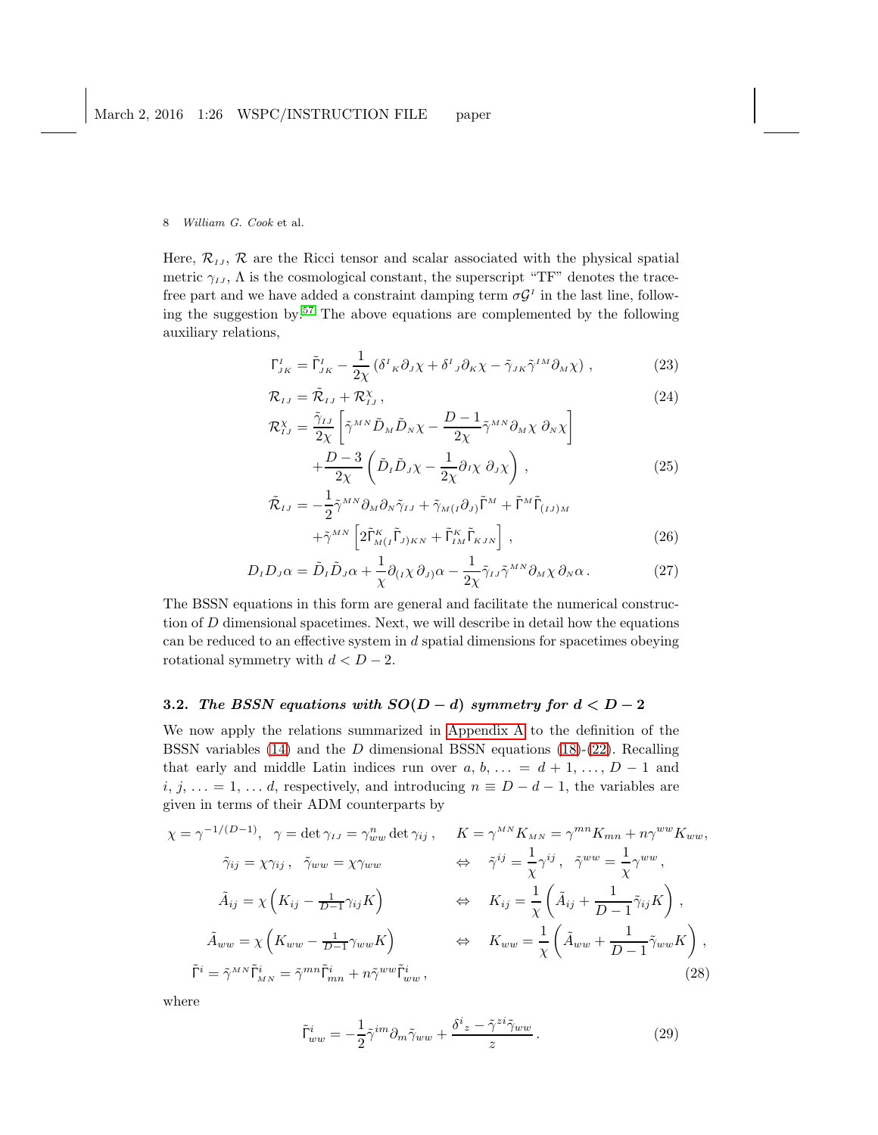Here,  $\mathcal{R}_{IJ}$ ,  $\mathcal{R}$  are the Ricci tensor and scalar associated with the physical spatial metric  $\gamma_{IJ}$ ,  $\Lambda$  is the cosmological constant, the superscript "TF" denotes the tracefree part and we have added a constraint damping term  $\sigma \mathcal{G}^I$  in the last line, following the suggestion by.[57](#page-24-6) The above equations are complemented by the following auxiliary relations,

$$
\Gamma_{JK}^I = \tilde{\Gamma}_{JK}^I - \frac{1}{2\chi} \left( \delta^I{}_{K} \partial_J \chi + \delta^I{}_{J} \partial_K \chi - \tilde{\gamma}_{JK} \tilde{\gamma}^{IM} \partial_M \chi \right), \tag{23}
$$

$$
\mathcal{R}_{IJ} = \tilde{\mathcal{R}}_{IJ} + \mathcal{R}_{IJ}^{\chi} , \qquad (24)
$$

$$
\mathcal{R}_{IJ}^{\chi} = \frac{\tilde{\gamma}_{IJ}}{2\chi} \left[ \tilde{\gamma}^{MN} \tilde{D}_M \tilde{D}_N \chi - \frac{D-1}{2\chi} \tilde{\gamma}^{MN} \partial_M \chi \partial_N \chi \right] + \frac{D-3}{2\chi} \left( \tilde{D}_I \tilde{D}_J \chi - \frac{1}{2\chi} \partial_I \chi \partial_J \chi \right), \tag{25}
$$

$$
\tilde{\mathcal{R}}_{IJ} = -\frac{1}{2} \tilde{\gamma}^{MN} \partial_M \partial_N \tilde{\gamma}_{IJ} + \tilde{\gamma}_{M(I} \partial_{J)} \tilde{\Gamma}^M + \tilde{\Gamma}^M \tilde{\Gamma}_{(IJ)M} \n+ \tilde{\gamma}^{MN} \left[ 2 \tilde{\Gamma}^K_{M(I} \tilde{\Gamma}_{J)KN} + \tilde{\Gamma}^K_{IM} \tilde{\Gamma}_{KJN} \right],
$$
\n(26)

$$
D_{I}D_{J}\alpha = \tilde{D}_{I}\tilde{D}_{J}\alpha + \frac{1}{\chi}\partial_{(I}\chi\,\partial_{J)}\alpha - \frac{1}{2\chi}\tilde{\gamma}_{IJ}\tilde{\gamma}^{MN}\partial_{M}\chi\,\partial_{N}\alpha. \tag{27}
$$

The BSSN equations in this form are general and facilitate the numerical construction of  $D$  dimensional spacetimes. Next, we will describe in detail how the equations can be reduced to an effective system in d spatial dimensions for spacetimes obeying rotational symmetry with  $d < D - 2$ .

# 3.2. The BSSN equations with  $SO(D-d)$  symmetry for  $d < D-2$

We now apply the relations summarized in [Appendix A](#page-15-0) to the definition of the BSSN variables  $(14)$  and the D dimensional BSSN equations  $(18)-(22)$  $(18)-(22)$ . Recalling that early and middle Latin indices run over  $a, b, \ldots = d + 1, \ldots, D - 1$  and  $i, j, \ldots = 1, \ldots d$ , respectively, and introducing  $n \equiv D - d - 1$ , the variables are given in terms of their ADM counterparts by

$$
\chi = \gamma^{-1/(D-1)}, \quad \gamma = \det \gamma_{IJ} = \gamma_{ww}^n \det \gamma_{ij}, \qquad K = \gamma^{MN} K_{MN} = \gamma^{mn} K_{mn} + n \gamma^{ww} K_{ww},
$$

$$
\tilde{\gamma}_{ij} = \chi \gamma_{ij}, \quad \tilde{\gamma}_{ww} = \chi \gamma_{ww} \qquad \Leftrightarrow \quad \tilde{\gamma}^{ij} = \frac{1}{\chi} \gamma^{ij}, \quad \tilde{\gamma}^{ww} = \frac{1}{\chi} \gamma^{ww},
$$

$$
\tilde{A}_{ij} = \chi \left( K_{ij} - \frac{1}{D-1} \gamma_{ij} K \right) \qquad \Leftrightarrow \qquad K_{ij} = \frac{1}{\chi} \left( \tilde{A}_{ij} + \frac{1}{D-1} \tilde{\gamma}_{ij} K \right),
$$

$$
\tilde{A}_{ww} = \chi \left( K_{ww} - \frac{1}{D-1} \gamma_{ww} K \right) \qquad \Leftrightarrow \qquad K_{ww} = \frac{1}{\chi} \left( \tilde{A}_{ww} + \frac{1}{D-1} \tilde{\gamma}_{ww} K \right),
$$

$$
\tilde{\Gamma}^i = \tilde{\gamma}^{MN} \tilde{\Gamma}^i_{MN} = \tilde{\gamma}^{mn} \tilde{\Gamma}^i_{mn} + n \tilde{\gamma}^{ww} \tilde{\Gamma}^i_{ww}, \qquad (28)
$$

where

<span id="page-7-0"></span>
$$
\tilde{\Gamma}^{i}_{ww} = -\frac{1}{2}\tilde{\gamma}^{im}\partial_m\tilde{\gamma}_{ww} + \frac{\delta^i{}_z - \tilde{\gamma}^{zi}\tilde{\gamma}_{ww}}{z}.
$$
\n(29)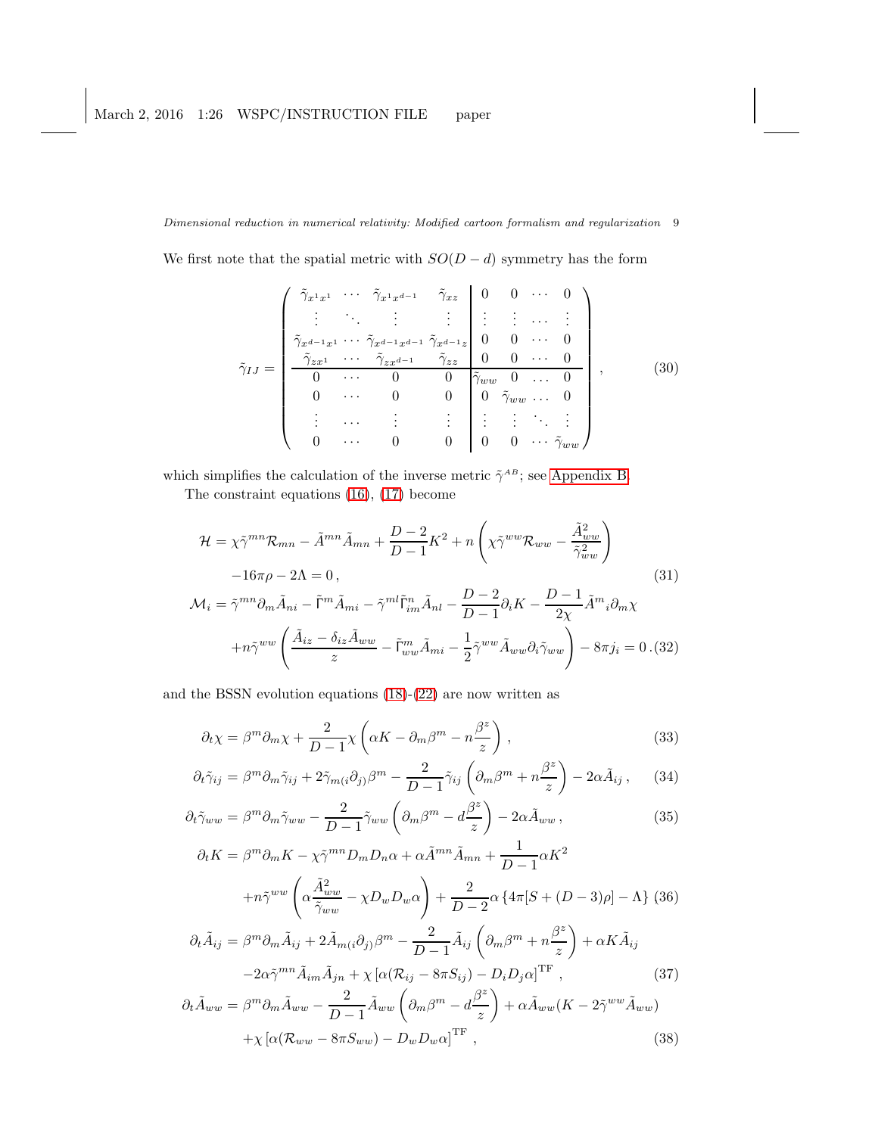We first note that the spatial metric with  $SO(D - d)$  symmetry has the form

<span id="page-8-1"></span>
$$
\tilde{\gamma}_{IJ} = \begin{pmatrix}\n\tilde{\gamma}_{x^1 x^1} & \cdots & \tilde{\gamma}_{x^1 x^{d-1}} & \tilde{\gamma}_{x z} & 0 & 0 & \cdots & 0 \\
\vdots & \ddots & \vdots & \vdots & \vdots & \vdots & \cdots & \vdots \\
\tilde{\gamma}_{x^{d-1} x^1} & \cdots & \tilde{\gamma}_{x^{d-1} x^{d-1}} & \tilde{\gamma}_{x^{d-1} z} & 0 & 0 & \cdots & 0 \\
\tilde{\gamma}_{z x^1} & \cdots & \tilde{\gamma}_{z x^{d-1}} & \tilde{\gamma}_{z z} & 0 & 0 & \cdots & 0 \\
0 & \cdots & 0 & 0 & \tilde{\gamma}_{ww} & 0 & \cdots & 0 \\
0 & \cdots & 0 & 0 & 0 & \tilde{\gamma}_{ww} & \cdots & 0 \\
\vdots & \cdots & \vdots & \vdots & \vdots & \vdots & \ddots & \vdots \\
0 & \cdots & 0 & 0 & 0 & 0 & \cdots & \tilde{\gamma}_{ww}\n\end{pmatrix},
$$
\n(30)

which simplifies the calculation of the inverse metric  $\tilde{\gamma}^{AB}$ ; see [Appendix B.](#page-16-0)

The constraint equations [\(16\)](#page-6-2), [\(17\)](#page-6-2) become

<span id="page-8-0"></span>
$$
\mathcal{H} = \chi \tilde{\gamma}^{mn} \mathcal{R}_{mn} - \tilde{A}^{mn} \tilde{A}_{mn} + \frac{D-2}{D-1} K^2 + n \left( \chi \tilde{\gamma}^{ww} \mathcal{R}_{ww} - \frac{\tilde{A}_{ww}^2}{\tilde{\gamma}_{ww}^2} \right)
$$
  
\n
$$
-16\pi \rho - 2\Lambda = 0, \tag{31}
$$
  
\n
$$
\mathcal{M}_i = \tilde{\gamma}^{mn} \partial_m \tilde{A}_{ni} - \tilde{\Gamma}^m \tilde{A}_{mi} - \tilde{\gamma}^{ml} \tilde{\Gamma}^n_{im} \tilde{A}_{nl} - \frac{D-2}{D-1} \partial_i K - \frac{D-1}{2\chi} \tilde{A}^m{}_i \partial_m \chi
$$
  
\n
$$
+ n \tilde{\gamma}^{ww} \left( \frac{\tilde{A}_{iz} - \delta_{iz} \tilde{A}_{ww}}{z} - \tilde{\Gamma}^m_{ww} \tilde{A}_{mi} - \frac{1}{2} \tilde{\gamma}^{ww} \tilde{A}_{ww} \partial_i \tilde{\gamma}_{ww} \right) - 8\pi j_i = 0 \tag{32}
$$

and the BSSN evolution equations [\(18\)](#page-6-1)-[\(22\)](#page-6-1) are now written as

<span id="page-8-2"></span>
$$
\partial_t \chi = \beta^m \partial_m \chi + \frac{2}{D-1} \chi \left( \alpha K - \partial_m \beta^m - n \frac{\beta^z}{z} \right) , \qquad (33)
$$

$$
\partial_t \tilde{\gamma}_{ij} = \beta^m \partial_m \tilde{\gamma}_{ij} + 2 \tilde{\gamma}_{m(i} \partial_j) \beta^m - \frac{2}{D-1} \tilde{\gamma}_{ij} \left( \partial_m \beta^m + n \frac{\beta^z}{z} \right) - 2 \alpha \tilde{A}_{ij} , \quad (34)
$$

$$
\partial_t \tilde{\gamma}_{ww} = \beta^m \partial_m \tilde{\gamma}_{ww} - \frac{2}{D-1} \tilde{\gamma}_{ww} \left( \partial_m \beta^m - d \frac{\beta^z}{z} \right) - 2\alpha \tilde{A}_{ww} , \qquad (35)
$$

$$
\partial_t K = \beta^m \partial_m K - \chi \tilde{\gamma}^{mn} D_m D_n \alpha + \alpha \tilde{A}^{mn} \tilde{A}_{mn} + \frac{1}{D-1} \alpha K^2
$$

$$
+ n \tilde{\gamma}^{ww} \left( \alpha \frac{\tilde{A}^2_{ww}}{\tilde{\gamma}_{ww}} - \chi D_w D_w \alpha \right) + \frac{2}{D-2} \alpha \left\{ 4\pi [S + (D-3)\rho] - \Lambda \right\} (36)
$$

$$
\partial_t \tilde{A}_{ij} = \beta^m \partial_m \tilde{A}_{ij} + 2 \tilde{A}_{m(i} \partial_j) \beta^m - \frac{2}{D-1} \tilde{A}_{ij} \left( \partial_m \beta^m + n \frac{\beta^z}{z} \right) + \alpha K \tilde{A}_{ij}
$$

$$
-2\alpha \tilde{\gamma}^{mn} \tilde{A}_{im} \tilde{A}_{jn} + \chi \left[ \alpha (\mathcal{R}_{ij} - 8\pi S_{ij}) - D_i D_j \alpha \right]^{TF}, \qquad (37)
$$

$$
\partial_t \tilde{A}_{ww} = \beta^m \partial_m \tilde{A}_{ww} - \frac{2}{D-1} \tilde{A}_{ww} \left( \partial_m \beta^m - d \frac{\beta^z}{z} \right) + \alpha \tilde{A}_{ww} (K - 2 \tilde{\gamma}^{ww} \tilde{A}_{ww}) + \chi \left[ \alpha (\mathcal{R}_{ww} - 8\pi S_{ww}) - D_w D_w \alpha \right]^{TF},
$$
(38)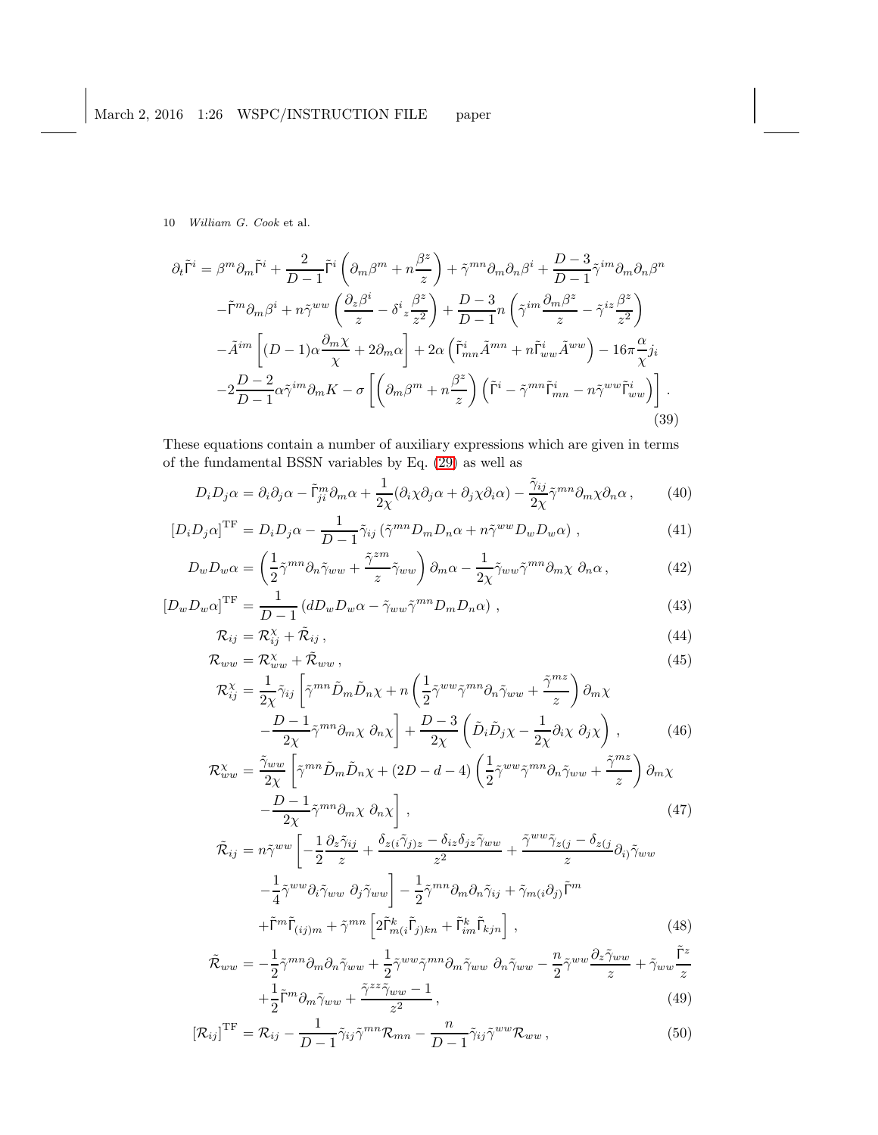$$
\partial_t \tilde{\Gamma}^i = \beta^m \partial_m \tilde{\Gamma}^i + \frac{2}{D-1} \tilde{\Gamma}^i \left( \partial_m \beta^m + n \frac{\beta^z}{z} \right) + \tilde{\gamma}^{mn} \partial_m \partial_n \beta^i + \frac{D-3}{D-1} \tilde{\gamma}^{im} \partial_m \partial_n \beta^n
$$
  

$$
- \tilde{\Gamma}^m \partial_m \beta^i + n \tilde{\gamma}^{ww} \left( \frac{\partial_z \beta^i}{z} - \delta^i z \frac{\beta^z}{z^2} \right) + \frac{D-3}{D-1} n \left( \tilde{\gamma}^{im} \frac{\partial_m \beta^z}{z} - \tilde{\gamma}^{iz} \frac{\beta^z}{z^2} \right)
$$
  

$$
- \tilde{A}^{im} \left[ (D-1) \alpha \frac{\partial_m \chi}{\chi} + 2 \partial_m \alpha \right] + 2 \alpha \left( \tilde{\Gamma}^i_{mn} \tilde{A}^{mn} + n \tilde{\Gamma}^i_{ww} \tilde{A}^{ww} \right) - 16 \pi \frac{\alpha}{\chi} j_i
$$
  

$$
-2 \frac{D-2}{D-1} \alpha \tilde{\gamma}^{im} \partial_m K - \sigma \left[ \left( \partial_m \beta^m + n \frac{\beta^z}{z} \right) \left( \tilde{\Gamma}^i - \tilde{\gamma}^{mn} \tilde{\Gamma}^i_{mn} - n \tilde{\gamma}^{ww} \tilde{\Gamma}^i_{ww} \right) \right].
$$
  
(39)

These equations contain a number of auxiliary expressions which are given in terms of the fundamental BSSN variables by Eq. [\(29\)](#page-7-0) as well as

$$
D_i D_j \alpha = \partial_i \partial_j \alpha - \tilde{\Gamma}_{ji}^m \partial_m \alpha + \frac{1}{2\chi} (\partial_i \chi \partial_j \alpha + \partial_j \chi \partial_i \alpha) - \frac{\tilde{\gamma}_{ij}}{2\chi} \tilde{\gamma}^{mn} \partial_m \chi \partial_n \alpha , \qquad (40)
$$

$$
\left[D_i D_j \alpha\right]^{\text{TF}} = D_i D_j \alpha - \frac{1}{D-1} \tilde{\gamma}_{ij} \left(\tilde{\gamma}^{mn} D_m D_n \alpha + n \tilde{\gamma}^{ww} D_w D_w \alpha\right) ,\tag{41}
$$

$$
D_w D_w \alpha = \left(\frac{1}{2}\tilde{\gamma}^{mn} \partial_n \tilde{\gamma}_{ww} + \frac{\tilde{\gamma}^{zm}}{z} \tilde{\gamma}_{ww}\right) \partial_m \alpha - \frac{1}{2\chi} \tilde{\gamma}_{ww} \tilde{\gamma}^{mn} \partial_m \chi \partial_n \alpha, \tag{42}
$$

$$
\left[D_w D_w \alpha\right]^{\text{TF}} = \frac{1}{D-1} \left(dD_w D_w \alpha - \tilde{\gamma}_{ww} \tilde{\gamma}^{mn} D_m D_n \alpha\right) \,,\tag{43}
$$

$$
\mathcal{R}_{ij} = \mathcal{R}_{ij}^{\chi} + \tilde{\mathcal{R}}_{ij},\tag{44}
$$

$$
\mathcal{R}_{ww} = \mathcal{R}_{ww}^{\chi} + \tilde{\mathcal{R}}_{ww} , \tag{45}
$$

$$
\mathcal{R}_{ij}^{\chi} = \frac{1}{2\chi} \tilde{\gamma}_{ij} \left[ \tilde{\gamma}^{mn} \tilde{D}_m \tilde{D}_n \chi + n \left( \frac{1}{2} \tilde{\gamma}^{ww} \tilde{\gamma}^{mn} \partial_n \tilde{\gamma}_{ww} + \frac{\tilde{\gamma}^{mx}}{z} \right) \partial_m \chi - \frac{D-1}{2\chi} \tilde{\gamma}^{mn} \partial_m \chi \partial_n \chi \right] + \frac{D-3}{2\chi} \left( \tilde{D}_i \tilde{D}_j \chi - \frac{1}{2\chi} \partial_i \chi \partial_j \chi \right),
$$
(46)

$$
\mathcal{R}_{ww}^{\chi} = \frac{\tilde{\gamma}_{ww}}{2\chi} \left[ \tilde{\gamma}^{mn} \tilde{D}_m \tilde{D}_n \chi + (2D - d - 4) \left( \frac{1}{2} \tilde{\gamma}^{ww} \tilde{\gamma}^{mn} \partial_n \tilde{\gamma}_{ww} + \frac{\tilde{\gamma}^{mz}}{z} \right) \partial_m \chi - \frac{D - 1}{2\chi} \tilde{\gamma}^{mn} \partial_m \chi \partial_n \chi \right],
$$
\n(47)

$$
\tilde{\mathcal{R}}_{ij} = n\tilde{\gamma}^{ww} \left[ -\frac{1}{2} \frac{\partial_z \tilde{\gamma}_{ij}}{z} + \frac{\delta_{z(i} \tilde{\gamma}_{j)z} - \delta_{iz} \delta_{jz} \tilde{\gamma}_{ww}}{z^2} + \frac{\tilde{\gamma}^{ww} \tilde{\gamma}_{z(j} - \delta_{z(j}}{z} \partial_{i) \tilde{\gamma}_{ww}} - \frac{1}{4} \tilde{\gamma}^{ww} \partial_i \tilde{\gamma}_{ww} \partial_j \tilde{\gamma}_{ww} \right] - \frac{1}{2} \tilde{\gamma}^{mn} \partial_m \partial_n \tilde{\gamma}_{ij} + \tilde{\gamma}_{m(i} \partial_j) \tilde{\Gamma}^m + \tilde{\Gamma}^m \tilde{\Gamma}_{(ij)m} + \tilde{\gamma}^{mn} \left[ 2 \tilde{\Gamma}^k_{m(i} \tilde{\Gamma}_{j)kn} + \tilde{\Gamma}^k_{im} \tilde{\Gamma}_{kjn} \right],
$$
\n(48)

$$
\tilde{\mathcal{R}}_{ww} = -\frac{1}{2}\tilde{\gamma}^{mn}\partial_m\partial_n\tilde{\gamma}_{ww} + \frac{1}{2}\tilde{\gamma}^{ww}\tilde{\gamma}^{mn}\partial_m\tilde{\gamma}_{ww}\partial_n\tilde{\gamma}_{ww} - \frac{n}{2}\tilde{\gamma}^{ww}\frac{\partial_z\tilde{\gamma}_{ww}}{z} + \tilde{\gamma}_{ww}\frac{\tilde{\Gamma}^z}{z} + \frac{1}{2}\tilde{\Gamma}^m\partial_m\tilde{\gamma}_{ww} + \frac{\tilde{\gamma}^{zz}\tilde{\gamma}_{ww} - 1}{z^2},
$$
\n(49)

$$
\left[\mathcal{R}_{ij}\right]^{\text{TF}} = \mathcal{R}_{ij} - \frac{1}{D-1} \tilde{\gamma}_{ij} \tilde{\gamma}^{mn} \mathcal{R}_{mn} - \frac{n}{D-1} \tilde{\gamma}_{ij} \tilde{\gamma}^{ww} \mathcal{R}_{ww} , \qquad (50)
$$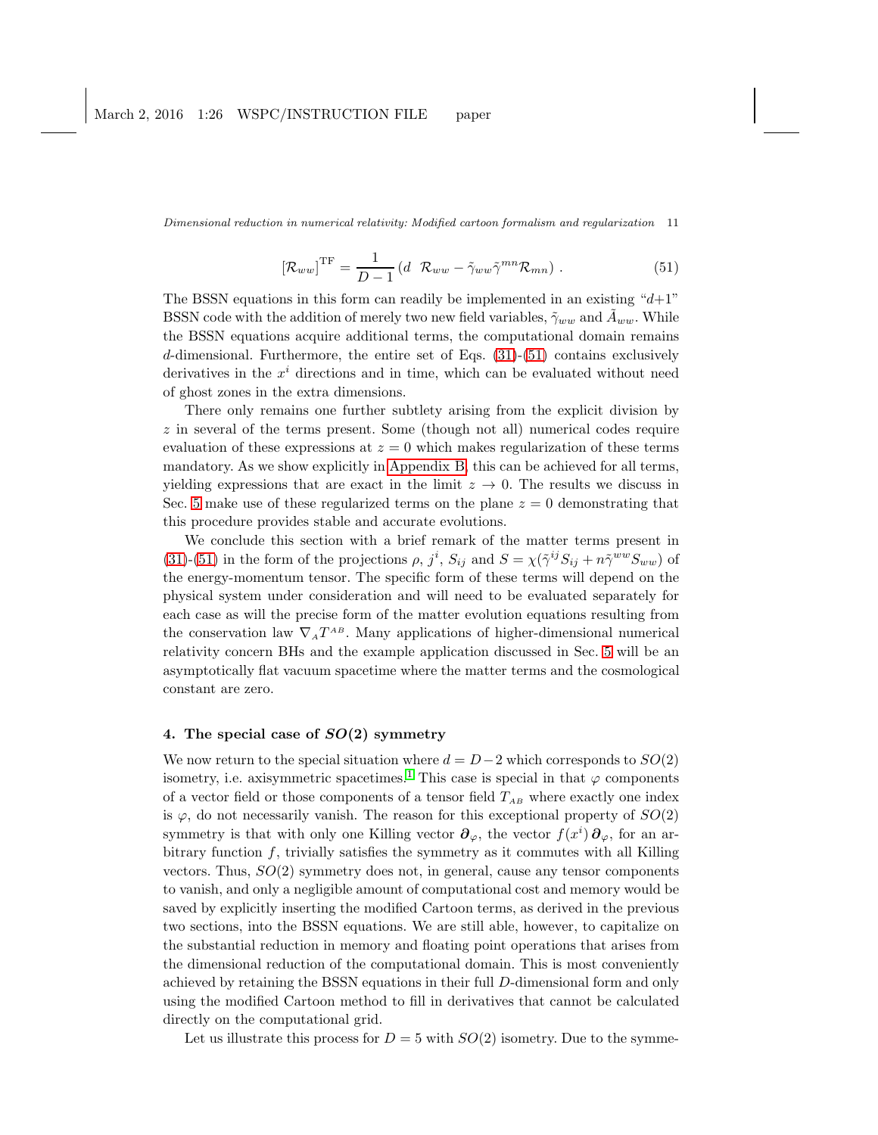<span id="page-10-1"></span>
$$
\left[\mathcal{R}_{ww}\right]^{\text{TF}} = \frac{1}{D-1} \left(d \ \mathcal{R}_{ww} - \tilde{\gamma}_{ww}\tilde{\gamma}^{mn}\mathcal{R}_{mn}\right). \tag{51}
$$

The BSSN equations in this form can readily be implemented in an existing " $d+1$ " BSSN code with the addition of merely two new field variables,  $\tilde{\gamma}_{ww}$  and  $A_{ww}$ . While the BSSN equations acquire additional terms, the computational domain remains d-dimensional. Furthermore, the entire set of Eqs. [\(31\)](#page-8-0)-[\(51\)](#page-10-1) contains exclusively derivatives in the  $x^i$  directions and in time, which can be evaluated without need of ghost zones in the extra dimensions.

There only remains one further subtlety arising from the explicit division by z in several of the terms present. Some (though not all) numerical codes require evaluation of these expressions at  $z = 0$  which makes regularization of these terms mandatory. As we show explicitly in [Appendix B,](#page-16-0) this can be achieved for all terms, yielding expressions that are exact in the limit  $z \to 0$ . The results we discuss in Sec. [5](#page-11-0) make use of these regularized terms on the plane  $z = 0$  demonstrating that this procedure provides stable and accurate evolutions.

We conclude this section with a brief remark of the matter terms present in [\(31\)](#page-8-0)-[\(51\)](#page-10-1) in the form of the projections  $\rho$ ,  $j^i$ ,  $S_{ij}$  and  $S = \chi(\tilde{\gamma}^{ij}S_{ij} + n\tilde{\gamma}^{ww}S_{ww})$  of the energy-momentum tensor. The specific form of these terms will depend on the physical system under consideration and will need to be evaluated separately for each case as will the precise form of the matter evolution equations resulting from the conservation law  $\nabla_A T^{AB}$ . Many applications of higher-dimensional numerical relativity concern BHs and the example application discussed in Sec. [5](#page-11-0) will be an asymptotically flat vacuum spacetime where the matter terms and the cosmological constant are zero.

# <span id="page-10-0"></span>4. The special case of  $SO(2)$  symmetry

We now return to the special situation where  $d = D-2$  which corresponds to  $SO(2)$ isometry, i.e. axisymmetric spacetimes.<sup>[1](#page-22-0)</sup> This case is special in that  $\varphi$  components of a vector field or those components of a tensor field  $T_{AB}$  where exactly one index is  $\varphi$ , do not necessarily vanish. The reason for this exceptional property of  $SO(2)$ symmetry is that with only one Killing vector  $\partial_{\varphi}$ , the vector  $f(x^i)\partial_{\varphi}$ , for an arbitrary function  $f$ , trivially satisfies the symmetry as it commutes with all Killing vectors. Thus,  $SO(2)$  symmetry does not, in general, cause any tensor components to vanish, and only a negligible amount of computational cost and memory would be saved by explicitly inserting the modified Cartoon terms, as derived in the previous two sections, into the BSSN equations. We are still able, however, to capitalize on the substantial reduction in memory and floating point operations that arises from the dimensional reduction of the computational domain. This is most conveniently achieved by retaining the BSSN equations in their full D-dimensional form and only using the modified Cartoon method to fill in derivatives that cannot be calculated directly on the computational grid.

Let us illustrate this process for  $D = 5$  with  $SO(2)$  isometry. Due to the symme-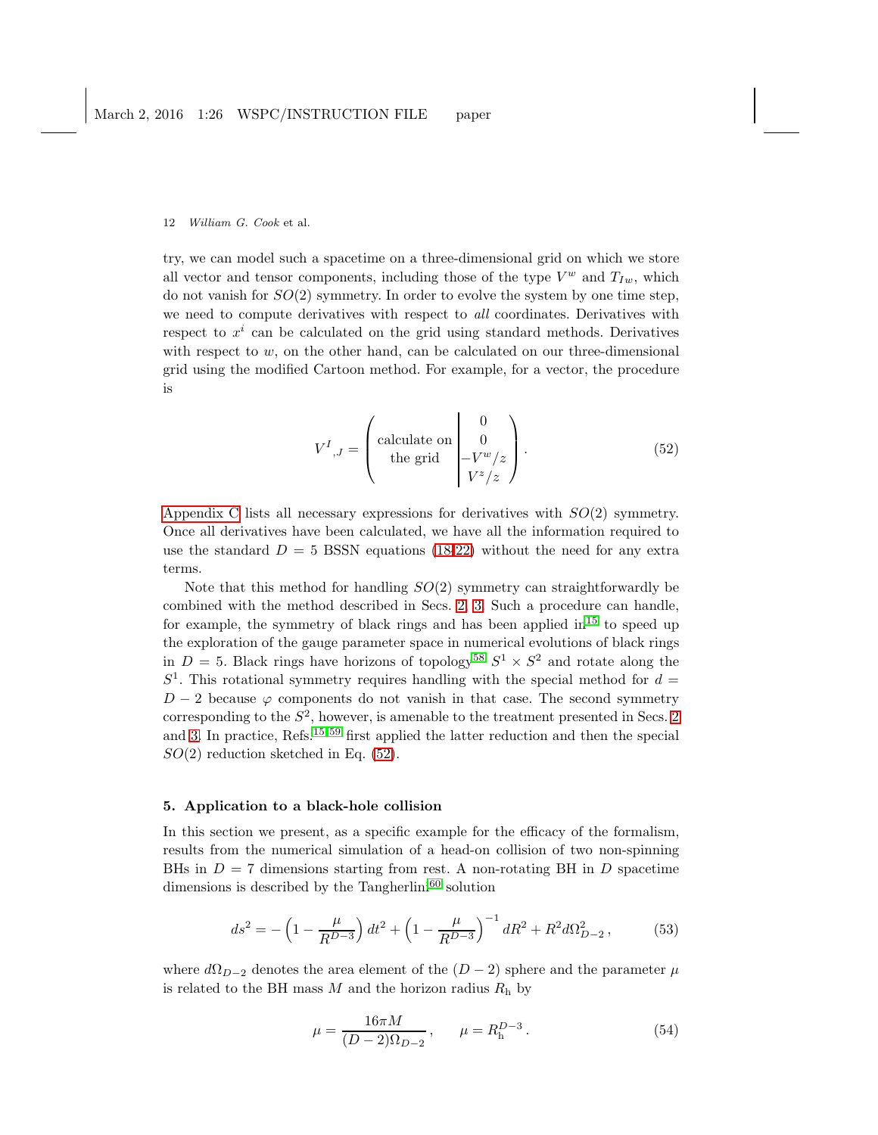try, we can model such a spacetime on a three-dimensional grid on which we store all vector and tensor components, including those of the type  $V^w$  and  $T_{Iw}$ , which do not vanish for  $SO(2)$  symmetry. In order to evolve the system by one time step, we need to compute derivatives with respect to *all* coordinates. Derivatives with respect to  $x^i$  can be calculated on the grid using standard methods. Derivatives with respect to  $w$ , on the other hand, can be calculated on our three-dimensional grid using the modified Cartoon method. For example, for a vector, the procedure is

<span id="page-11-1"></span>
$$
V^{I}{}_{,J} = \begin{pmatrix} \text{calculate on} & 0\\ \text{the grid} & -V^{w}/z\\ V^{z}/z \end{pmatrix} . \tag{52}
$$

[Appendix C](#page-19-0) lists all necessary expressions for derivatives with  $SO(2)$  symmetry. Once all derivatives have been calculated, we have all the information required to use the standard  $D = 5$  BSSN equations [\(18-22\)](#page-6-1) without the need for any extra terms.

Note that this method for handling  $SO(2)$  symmetry can straightforwardly be combined with the method described in Secs. [2,](#page-2-0) [3.](#page-5-0) Such a procedure can handle, for example, the symmetry of black rings and has been applied  $\text{in}^{15}$  $\text{in}^{15}$  $\text{in}^{15}$  to speed up the exploration of the gauge parameter space in numerical evolutions of black rings in  $D = 5$ . Black rings have horizons of topology<sup>[58](#page-24-7)</sup>  $S^1 \times S^2$  and rotate along the  $S<sup>1</sup>$ . This rotational symmetry requires handling with the special method for  $d =$  $D-2$  because  $\varphi$  components do not vanish in that case. The second symmetry corresponding to the  $S^2$ , however, is amenable to the treatment presented in Secs. [2](#page-2-0) and [3.](#page-5-0) In practice, Refs.[15,](#page-22-12) [59](#page-24-8) first applied the latter reduction and then the special  $SO(2)$  reduction sketched in Eq. [\(52\)](#page-11-1).

## <span id="page-11-0"></span>5. Application to a black-hole collision

In this section we present, as a specific example for the efficacy of the formalism, results from the numerical simulation of a head-on collision of two non-spinning BHs in  $D = 7$  dimensions starting from rest. A non-rotating BH in D spacetime dimensions is described by the Tangherlini<sup>[60](#page-24-9)</sup> solution

$$
ds^{2} = -\left(1 - \frac{\mu}{R^{D-3}}\right)dt^{2} + \left(1 - \frac{\mu}{R^{D-3}}\right)^{-1}dR^{2} + R^{2}d\Omega_{D-2}^{2},\tag{53}
$$

where  $d\Omega_{D-2}$  denotes the area element of the  $(D-2)$  sphere and the parameter  $\mu$ is related to the BH mass  $M$  and the horizon radius  $R<sub>h</sub>$  by

$$
\mu = \frac{16\pi M}{(D-2)\Omega_{D-2}}, \qquad \mu = R_h^{D-3}.
$$
\n(54)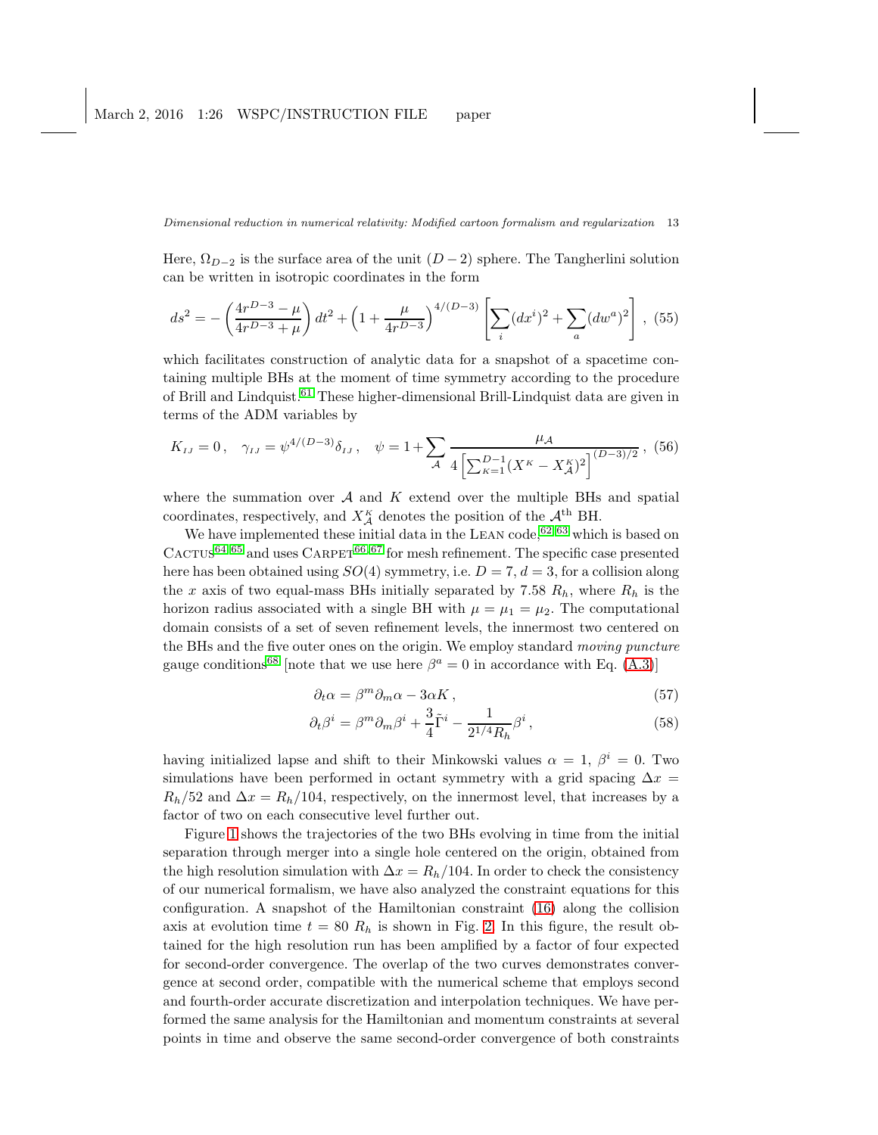Here,  $\Omega_{D-2}$  is the surface area of the unit  $(D-2)$  sphere. The Tangherlini solution can be written in isotropic coordinates in the form

$$
ds^{2} = -\left(\frac{4r^{D-3}-\mu}{4r^{D-3}+\mu}\right)dt^{2} + \left(1 + \frac{\mu}{4r^{D-3}}\right)^{4/(D-3)}\left[\sum_{i}(dx^{i})^{2} + \sum_{a}(dw^{a})^{2}\right],
$$
 (55)

which facilitates construction of analytic data for a snapshot of a spacetime containing multiple BHs at the moment of time symmetry according to the procedure of Brill and Lindquist.[61](#page-24-10) These higher-dimensional Brill-Lindquist data are given in terms of the ADM variables by

$$
K_{IJ} = 0
$$
,  $\gamma_{IJ} = \psi^{4/(D-3)} \delta_{IJ}$ ,  $\psi = 1 + \sum_{\mathcal{A}} \frac{\mu_{\mathcal{A}}}{4 \left[ \sum_{\kappa=1}^{D-1} (X^{\kappa} - X^{\kappa}_{\mathcal{A}})^2 \right]^{(D-3)/2}}$ , (56)

where the summation over  $A$  and  $K$  extend over the multiple BHs and spatial coordinates, respectively, and  $X_A^{\kappa}$  denotes the position of the  $\mathcal{A}^{\text{th}}$  BH.

We have implemented these initial data in the LEAN code,  $62,63$  $62,63$  which is based on  $C_A$ CTUS<sup>[64,](#page-24-13) [65](#page-24-14)</sup> and uses  $C_A$ RPET<sup>[66,](#page-24-15) [67](#page-24-16)</sup> for mesh refinement. The specific case presented here has been obtained using  $SO(4)$  symmetry, i.e.  $D = 7, d = 3$ , for a collision along the x axis of two equal-mass BHs initially separated by 7.58  $R_h$ , where  $R_h$  is the horizon radius associated with a single BH with  $\mu = \mu_1 = \mu_2$ . The computational domain consists of a set of seven refinement levels, the innermost two centered on the BHs and the five outer ones on the origin. We employ standard moving puncture gauge conditions<sup>[68](#page-24-17)</sup> [note that we use here  $\beta^a = 0$  in accordance with Eq. [\(A.3\)](#page-15-1)]

$$
\partial_t \alpha = \beta^m \partial_m \alpha - 3\alpha K \,, \tag{57}
$$

$$
\partial_t \beta^i = \beta^m \partial_m \beta^i + \frac{3}{4} \tilde{\Gamma}^i - \frac{1}{2^{1/4} R_h} \beta^i, \qquad (58)
$$

having initialized lapse and shift to their Minkowski values  $\alpha = 1, \beta^i = 0$ . Two simulations have been performed in octant symmetry with a grid spacing  $\Delta x =$  $R_h/52$  and  $\Delta x = R_h/104$ , respectively, on the innermost level, that increases by a factor of two on each consecutive level further out.

Figure [1](#page-13-0) shows the trajectories of the two BHs evolving in time from the initial separation through merger into a single hole centered on the origin, obtained from the high resolution simulation with  $\Delta x = R_h/104$ . In order to check the consistency of our numerical formalism, we have also analyzed the constraint equations for this configuration. A snapshot of the Hamiltonian constraint [\(16\)](#page-6-2) along the collision axis at evolution time  $t = 80 R_h$  is shown in Fig. [2.](#page-13-1) In this figure, the result obtained for the high resolution run has been amplified by a factor of four expected for second-order convergence. The overlap of the two curves demonstrates convergence at second order, compatible with the numerical scheme that employs second and fourth-order accurate discretization and interpolation techniques. We have performed the same analysis for the Hamiltonian and momentum constraints at several points in time and observe the same second-order convergence of both constraints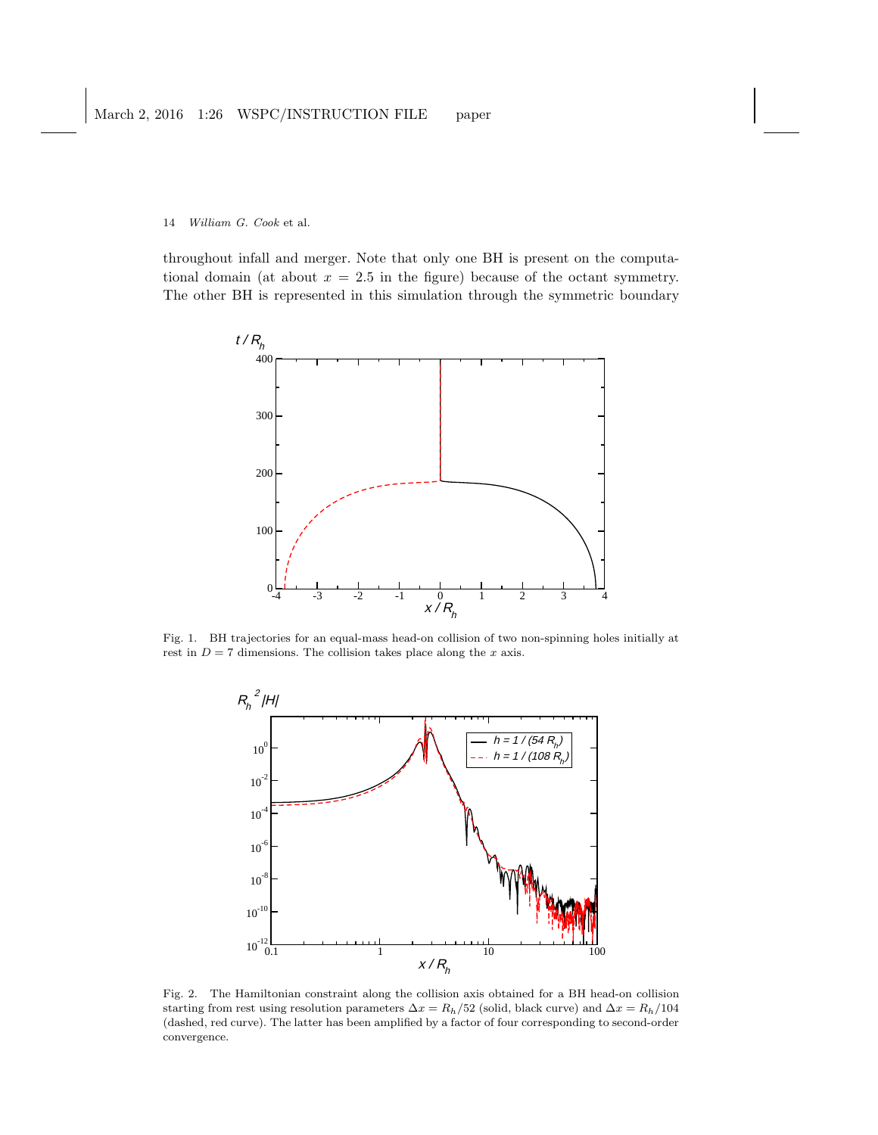throughout infall and merger. Note that only one BH is present on the computational domain (at about  $x = 2.5$  in the figure) because of the octant symmetry. The other BH is represented in this simulation through the symmetric boundary



Fig. 1. BH trajectories for an equal-mass head-on collision of two non-spinning holes initially at rest in  $D = 7$  dimensions. The collision takes place along the  $x$  axis.

<span id="page-13-0"></span>

<span id="page-13-1"></span>Fig. 2. The Hamiltonian constraint along the collision axis obtained for a BH head-on collision starting from rest using resolution parameters  $\Delta x = R_h/52$  (solid, black curve) and  $\Delta x = R_h/104$ (dashed, red curve). The latter has been amplified by a factor of four corresponding to second-order convergence.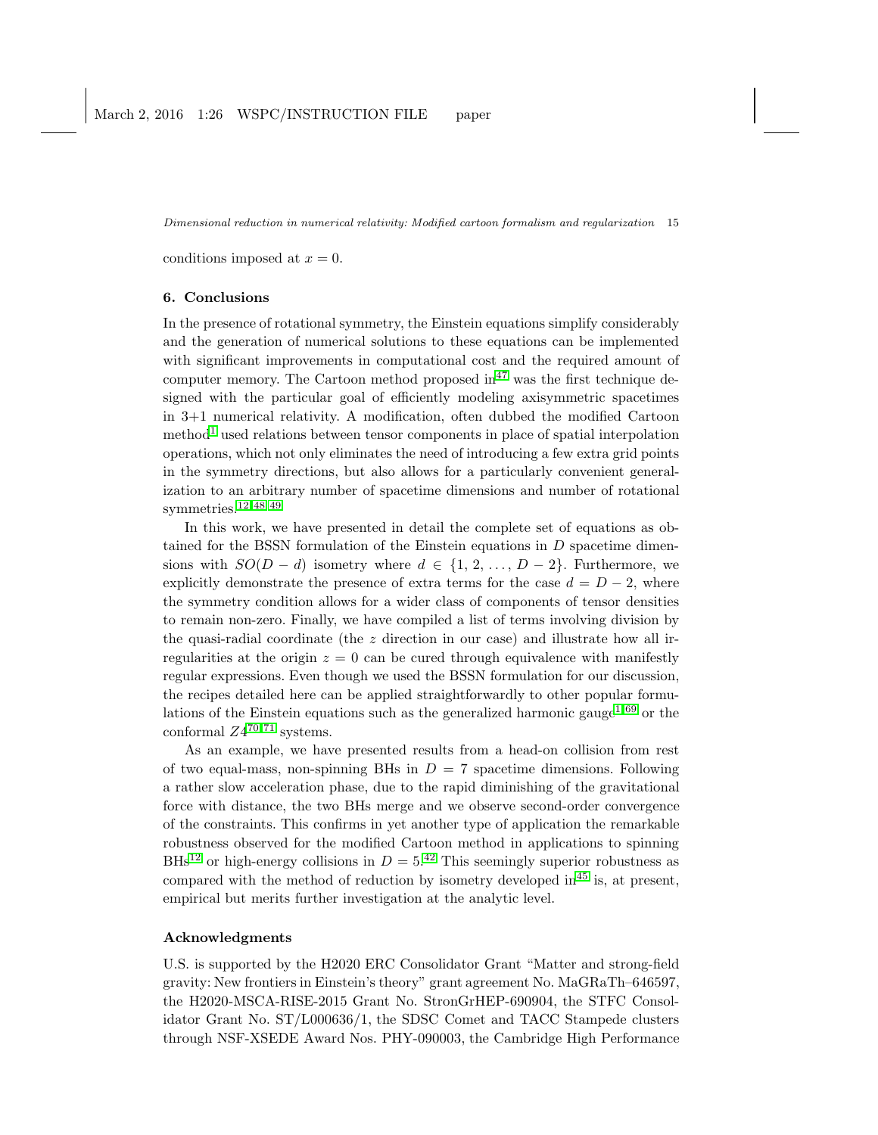<span id="page-14-0"></span>conditions imposed at  $x = 0$ .

## 6. Conclusions

In the presence of rotational symmetry, the Einstein equations simplify considerably and the generation of numerical solutions to these equations can be implemented with significant improvements in computational cost and the required amount of computer memory. The Cartoon method proposed  $\text{in}^{47}$  $\text{in}^{47}$  $\text{in}^{47}$  was the first technique designed with the particular goal of efficiently modeling axisymmetric spacetimes in 3+1 numerical relativity. A modification, often dubbed the modified Cartoon method<sup>[1](#page-22-0)</sup> used relations between tensor components in place of spatial interpolation operations, which not only eliminates the need of introducing a few extra grid points in the symmetry directions, but also allows for a particularly convenient generalization to an arbitrary number of spacetime dimensions and number of rotational symmetries.[12,](#page-22-9) [48,](#page-23-14) [49](#page-23-15)

In this work, we have presented in detail the complete set of equations as obtained for the BSSN formulation of the Einstein equations in  $D$  spacetime dimensions with  $SO(D-d)$  isometry where  $d \in \{1, 2, ..., D-2\}$ . Furthermore, we explicitly demonstrate the presence of extra terms for the case  $d = D - 2$ , where the symmetry condition allows for a wider class of components of tensor densities to remain non-zero. Finally, we have compiled a list of terms involving division by the quasi-radial coordinate (the z direction in our case) and illustrate how all irregularities at the origin  $z = 0$  can be cured through equivalence with manifestly regular expressions. Even though we used the BSSN formulation for our discussion, the recipes detailed here can be applied straightforwardly to other popular formu-lations of the Einstein equations such as the generalized harmonic gauge<sup>[1,](#page-22-0) [69](#page-24-18)</sup> or the conformal  $Z4^{70,71}$  $Z4^{70,71}$  $Z4^{70,71}$  systems.

As an example, we have presented results from a head-on collision from rest of two equal-mass, non-spinning BHs in  $D = 7$  spacetime dimensions. Following a rather slow acceleration phase, due to the rapid diminishing of the gravitational force with distance, the two BHs merge and we observe second-order convergence of the constraints. This confirms in yet another type of application the remarkable robustness observed for the modified Cartoon method in applications to spinning BHs<sup>[12](#page-22-9)</sup> or high-energy collisions in  $D = 5^{42}$  $D = 5^{42}$  $D = 5^{42}$ . This seemingly superior robustness as compared with the method of reduction by isometry developed  $\text{in}^{45}$  $\text{in}^{45}$  $\text{in}^{45}$  is, at present, empirical but merits further investigation at the analytic level.

# Acknowledgments

U.S. is supported by the H2020 ERC Consolidator Grant "Matter and strong-field gravity: New frontiers in Einstein's theory" grant agreement No. MaGRaTh–646597, the H2020-MSCA-RISE-2015 Grant No. StronGrHEP-690904, the STFC Consolidator Grant No. ST/L000636/1, the SDSC Comet and TACC Stampede clusters through NSF-XSEDE Award Nos. PHY-090003, the Cambridge High Performance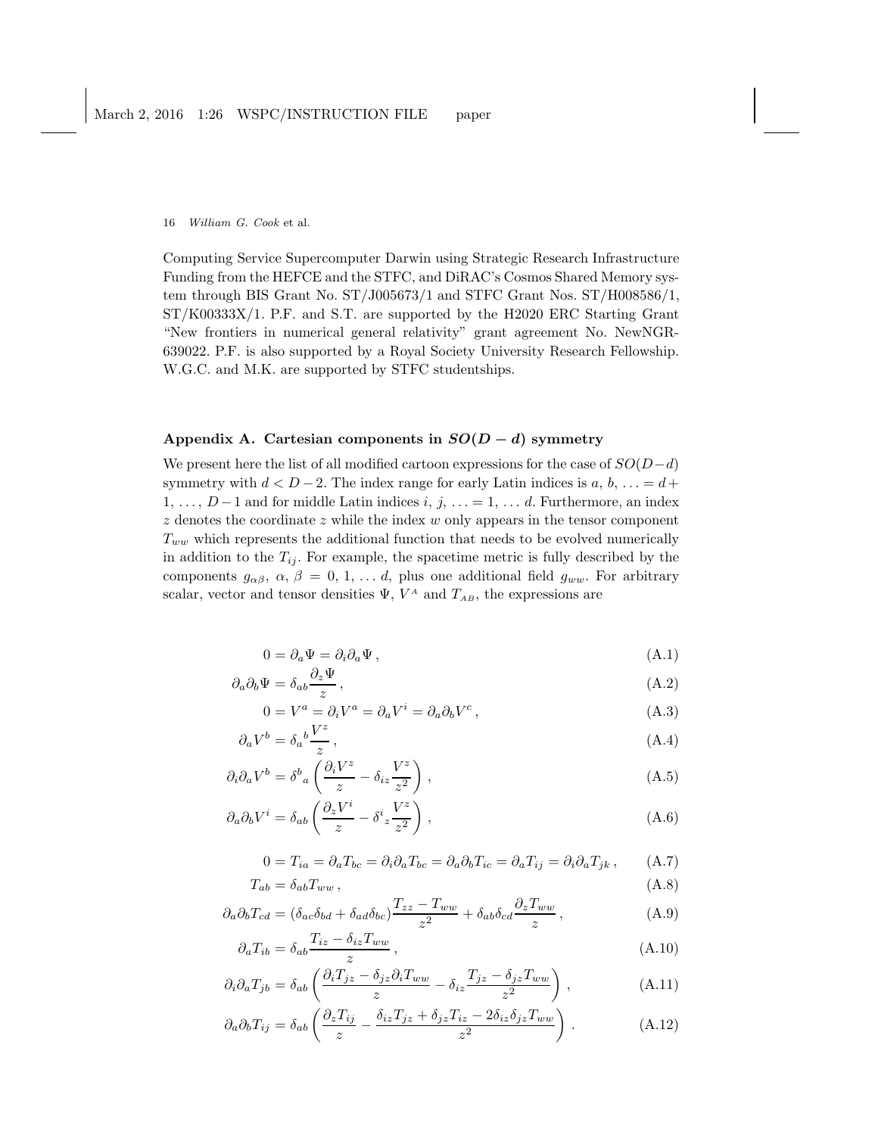Computing Service Supercomputer Darwin using Strategic Research Infrastructure Funding from the HEFCE and the STFC, and DiRAC's Cosmos Shared Memory system through BIS Grant No. ST/J005673/1 and STFC Grant Nos. ST/H008586/1, ST/K00333X/1. P.F. and S.T. are supported by the H2020 ERC Starting Grant "New frontiers in numerical general relativity" grant agreement No. NewNGR-639022. P.F. is also supported by a Royal Society University Research Fellowship. W.G.C. and M.K. are supported by STFC studentships.

# <span id="page-15-0"></span>Appendix A. Cartesian components in  $SO(D-d)$  symmetry

We present here the list of all modified cartoon expressions for the case of  $SO(D-d)$ symmetry with  $d < D-2$ . The index range for early Latin indices is  $a, b, \ldots = d+1$  $1, \ldots, D-1$  and for middle Latin indices i, j,  $\ldots = 1, \ldots d$ . Furthermore, an index  $z$  denotes the coordinate  $z$  while the index  $w$  only appears in the tensor component  $T_{ww}$  which represents the additional function that needs to be evolved numerically in addition to the  $T_{ij}$ . For example, the spacetime metric is fully described by the components  $g_{\alpha\beta}, \alpha, \beta = 0, 1, \ldots d$ , plus one additional field  $g_{ww}$ . For arbitrary scalar, vector and tensor densities  $\Psi$ ,  $V^A$  and  $T_{AB}$ , the expressions are

<span id="page-15-1"></span>
$$
0 = \partial_a \Psi = \partial_i \partial_a \Psi , \qquad (A.1)
$$

$$
\partial_a \partial_b \Psi = \delta_{ab} \frac{\partial_z \Psi}{z}, \qquad (A.2)
$$

$$
0 = V^a = \partial_i V^a = \partial_a V^i = \partial_a \partial_b V^c, \qquad (A.3)
$$

$$
\partial_a V^b = \delta_a{}^b \frac{V^z}{z},\tag{A.4}
$$

$$
\partial_i \partial_a V^b = \delta^b{}_a \left( \frac{\partial_i V^z}{z} - \delta_{iz} \frac{V^z}{z^2} \right) , \qquad (A.5)
$$

$$
\partial_a \partial_b V^i = \delta_{ab} \left( \frac{\partial_z V^i}{z} - \delta^i z \frac{V^z}{z^2} \right) , \qquad (A.6)
$$

$$
0 = T_{ia} = \partial_a T_{bc} = \partial_i \partial_a T_{bc} = \partial_a \partial_b T_{ic} = \partial_a T_{ij} = \partial_i \partial_a T_{jk}, \qquad (A.7)
$$

$$
T_{ab} = \delta_{ab} T_{ww} , \t\t(A.8)
$$

$$
\partial_a \partial_b T_{cd} = (\delta_{ac}\delta_{bd} + \delta_{ad}\delta_{bc}) \frac{T_{zz} - T_{ww}}{z^2} + \delta_{ab}\delta_{cd} \frac{\partial_z T_{ww}}{z}, \tag{A.9}
$$

$$
\partial_a T_{ib} = \delta_{ab} \frac{T_{iz} - \delta_{iz} T_{ww}}{z},\tag{A.10}
$$

$$
\partial_i \partial_a T_{jb} = \delta_{ab} \left( \frac{\partial_i T_{jz} - \delta_{jz} \partial_i T_{ww}}{z} - \delta_{iz} \frac{T_{jz} - \delta_{jz} T_{ww}}{z^2} \right), \tag{A.11}
$$

$$
\partial_a \partial_b T_{ij} = \delta_{ab} \left( \frac{\partial_z T_{ij}}{z} - \frac{\delta_{iz} T_{jz} + \delta_{jz} T_{iz} - 2\delta_{iz} \delta_{jz} T_{ww}}{z^2} \right) . \tag{A.12}
$$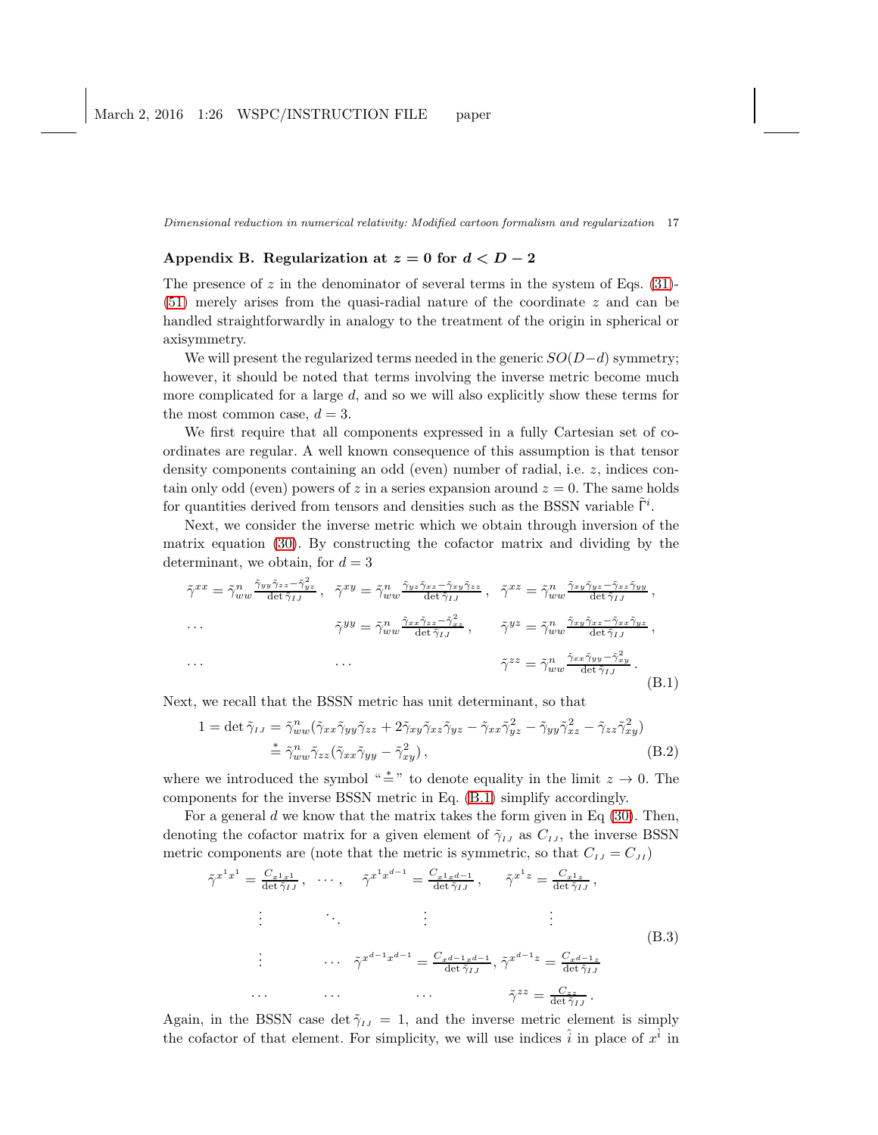# <span id="page-16-0"></span>Appendix B. Regularization at  $z = 0$  for  $d < D - 2$

The presence of  $z$  in the denominator of several terms in the system of Eqs. [\(31\)](#page-8-0)- $(51)$  merely arises from the quasi-radial nature of the coordinate z and can be handled straightforwardly in analogy to the treatment of the origin in spherical or axisymmetry.

We will present the regularized terms needed in the generic  $SO(D-d)$  symmetry; however, it should be noted that terms involving the inverse metric become much more complicated for a large d, and so we will also explicitly show these terms for the most common case,  $d = 3$ .

We first require that all components expressed in a fully Cartesian set of coordinates are regular. A well known consequence of this assumption is that tensor density components containing an odd (even) number of radial, i.e. z, indices contain only odd (even) powers of z in a series expansion around  $z = 0$ . The same holds for quantities derived from tensors and densities such as the BSSN variable  $\tilde{\Gamma}^i$ .

Next, we consider the inverse metric which we obtain through inversion of the matrix equation [\(30\)](#page-8-1). By constructing the cofactor matrix and dividing by the determinant, we obtain, for  $d = 3$ 

<span id="page-16-1"></span>
$$
\tilde{\gamma}^{xx} = \tilde{\gamma}_{ww}^n \frac{\tilde{\gamma}_{yy}\tilde{\gamma}_{zz} - \tilde{\gamma}_{yz}^2}{\det \tilde{\gamma}_{IJ}}, \quad \tilde{\gamma}^{xy} = \tilde{\gamma}_{ww}^n \frac{\tilde{\gamma}_{yz}\tilde{\gamma}_{xz} - \tilde{\gamma}_{xy}\tilde{\gamma}_{zz}}{\det \tilde{\gamma}_{IJ}}, \quad \tilde{\gamma}^{xz} = \tilde{\gamma}_{ww}^n \frac{\tilde{\gamma}_{xy}\tilde{\gamma}_{yz} - \tilde{\gamma}_{xz}\tilde{\gamma}_{yy}}{\det \tilde{\gamma}_{IJ}},
$$
  
\n...  
\n
$$
\tilde{\gamma}^{yy} = \tilde{\gamma}_{ww}^n \frac{\tilde{\gamma}_{xx}\tilde{\gamma}_{zz} - \tilde{\gamma}_{xz}^2}{\det \tilde{\gamma}_{IJ}}, \qquad \tilde{\gamma}^{yz} = \tilde{\gamma}_{ww}^n \frac{\tilde{\gamma}_{xy}\tilde{\gamma}_{xz} - \tilde{\gamma}_{xx}\tilde{\gamma}_{yz}}{\det \tilde{\gamma}_{IJ}},
$$
  
\n...  
\n
$$
\tilde{\gamma}^{zz} = \tilde{\gamma}_{ww}^n \frac{\tilde{\gamma}_{xx}\tilde{\gamma}_{yy} - \tilde{\gamma}_{xy}^2}{\det \tilde{\gamma}_{IJ}}.
$$
  
\n(B.1)

Next, we recall that the BSSN metric has unit determinant, so that

$$
1 = \det \tilde{\gamma}_{IJ} = \tilde{\gamma}_{ww}^n (\tilde{\gamma}_{xx}\tilde{\gamma}_{yy}\tilde{\gamma}_{zz} + 2\tilde{\gamma}_{xy}\tilde{\gamma}_{xz}\tilde{\gamma}_{yz} - \tilde{\gamma}_{xx}\tilde{\gamma}_{yz}^2 - \tilde{\gamma}_{yy}\tilde{\gamma}_{xz}^2 - \tilde{\gamma}_{zz}\tilde{\gamma}_{xy}^2)
$$
  

$$
\stackrel{*}{=} \tilde{\gamma}_{ww}^n \tilde{\gamma}_{zz} (\tilde{\gamma}_{xx}\tilde{\gamma}_{yy} - \tilde{\gamma}_{xy}^2), \tag{B.2}
$$

where we introduced the symbol " $\stackrel{*}{\equiv}$ " to denote equality in the limit  $z \to 0$ . The components for the inverse BSSN metric in Eq. [\(B.1\)](#page-16-1) simplify accordingly.

For a general  $d$  we know that the matrix takes the form given in Eq [\(30\)](#page-8-1). Then, denoting the cofactor matrix for a given element of  $\tilde{\gamma}_{IJ}$  as  $C_{IJ}$ , the inverse BSSN metric components are (note that the metric is symmetric, so that  $C_{IJ} = C_{JI}$ )

$$
\tilde{\gamma}^{x^1 x^1} = \frac{C_{x^1 x^1}}{\det \tilde{\gamma}_{IJ}}, \quad \cdots, \quad \tilde{\gamma}^{x^1 x^{d-1}} = \frac{C_{x^1 x^{d-1}}}{\det \tilde{\gamma}_{IJ}}, \quad \tilde{\gamma}^{x^1 z} = \frac{C_{x^1 z}}{\det \tilde{\gamma}_{IJ}},
$$
\n
$$
\vdots \qquad \vdots \qquad \vdots
$$
\n
$$
\tilde{\gamma}^{x^{d-1} x^{d-1}} = \frac{C_{x^d - 1 x^{d-1}}}{\det \tilde{\gamma}_{IJ}}, \quad \tilde{\gamma}^{x^{d-1} z} = \frac{C_{x^d - 1 z}}{\det \tilde{\gamma}_{IJ}}
$$
\n
$$
\cdots \qquad \cdots \qquad \cdots \qquad \tilde{\gamma}^{zz} = \frac{C_{zz}}{\det \tilde{\gamma}_{IJ}}.
$$
\n
$$
(B.3)
$$

Again, in the BSSN case det  $\tilde{\gamma}_{IJ} = 1$ , and the inverse metric element is simply the cofactor of that element. For simplicity, we will use indices  $\hat{i}$  in place of  $x^{\hat{i}}$  in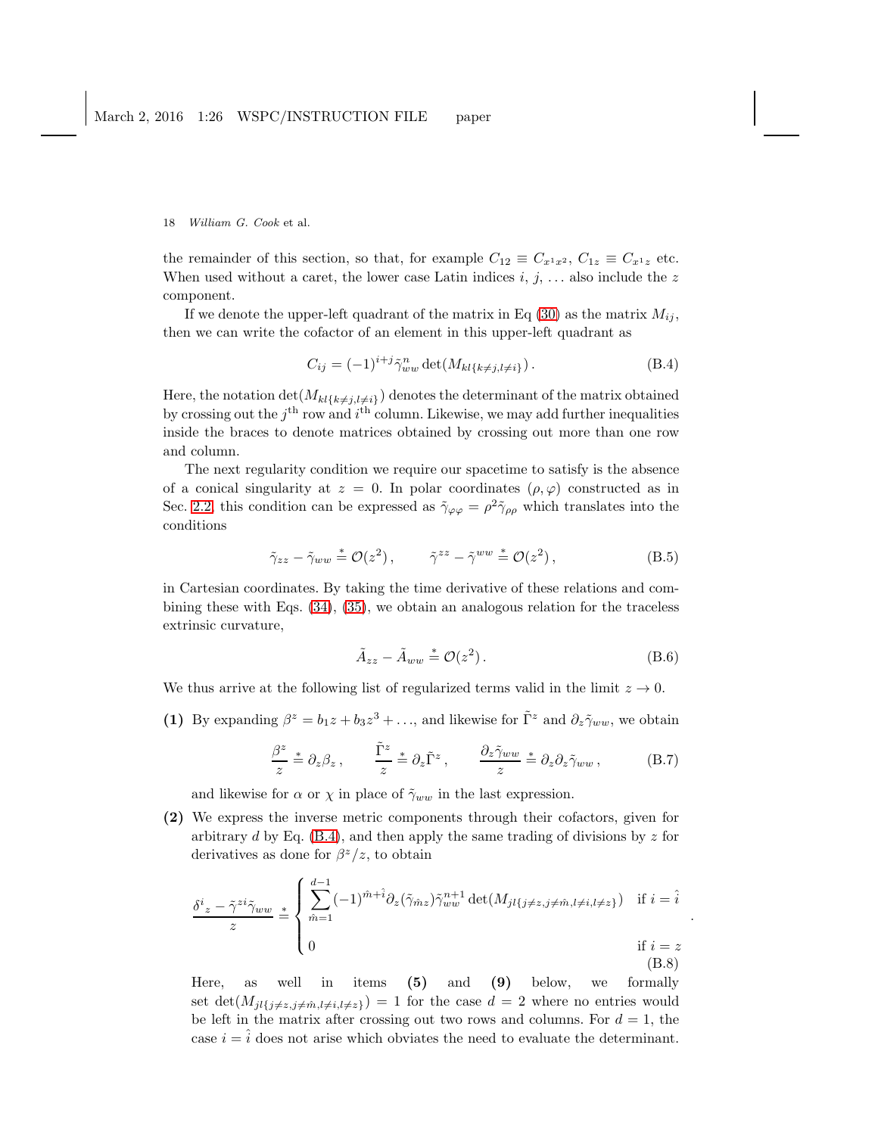the remainder of this section, so that, for example  $C_{12} \equiv C_{x^1x^2}$ ,  $C_{1z} \equiv C_{x^1z}$  etc. When used without a caret, the lower case Latin indices  $i, j, \ldots$  also include the z component.

If we denote the upper-left quadrant of the matrix in Eq [\(30\)](#page-8-1) as the matrix  $M_{ij}$ , then we can write the cofactor of an element in this upper-left quadrant as

<span id="page-17-0"></span>
$$
C_{ij} = (-1)^{i+j} \tilde{\gamma}_{ww}^n \det(M_{kl\{k \neq j, l \neq i\}}). \tag{B.4}
$$

Here, the notation  $\det(M_{kl\{k\neq j, l\neq i\}})$  denotes the determinant of the matrix obtained by crossing out the  $j<sup>th</sup>$  row and  $i<sup>th</sup>$  column. Likewise, we may add further inequalities inside the braces to denote matrices obtained by crossing out more than one row and column.

The next regularity condition we require our spacetime to satisfy is the absence of a conical singularity at  $z = 0$ . In polar coordinates  $(\rho, \varphi)$  constructed as in Sec. [2.2,](#page-3-0) this condition can be expressed as  $\tilde{\gamma}_{\varphi\varphi} = \rho^2 \tilde{\gamma}_{\rho\rho}$  which translates into the conditions

$$
\tilde{\gamma}_{zz} - \tilde{\gamma}_{ww} \stackrel{*}{=} \mathcal{O}(z^2) , \qquad \tilde{\gamma}^{zz} - \tilde{\gamma}^{ww} \stackrel{*}{=} \mathcal{O}(z^2) , \qquad (B.5)
$$

in Cartesian coordinates. By taking the time derivative of these relations and combining these with Eqs. [\(34\)](#page-8-2), [\(35\)](#page-8-2), we obtain an analogous relation for the traceless extrinsic curvature,

$$
\tilde{A}_{zz} - \tilde{A}_{ww} \stackrel{*}{=} \mathcal{O}(z^2). \tag{B.6}
$$

.

We thus arrive at the following list of regularized terms valid in the limit  $z \to 0$ .

(1) By expanding  $\beta^z = b_1 z + b_3 z^3 + \dots$ , and likewise for  $\tilde{\Gamma}^z$  and  $\partial_z \tilde{\gamma}_{ww}$ , we obtain

<span id="page-17-2"></span>
$$
\frac{\beta^z}{z} \stackrel{*}{=} \partial_z \beta_z \,, \qquad \frac{\tilde{\Gamma}^z}{z} \stackrel{*}{=} \partial_z \tilde{\Gamma}^z \,, \qquad \frac{\partial_z \tilde{\gamma}_{ww}}{z} \stackrel{*}{=} \partial_z \partial_z \tilde{\gamma}_{ww} \,, \tag{B.7}
$$

and likewise for  $\alpha$  or  $\chi$  in place of  $\tilde{\gamma}_{ww}$  in the last expression.

(2) We express the inverse metric components through their cofactors, given for arbitrary d by Eq.  $(B.4)$ , and then apply the same trading of divisions by z for derivatives as done for  $\beta^z/z$ , to obtain

<span id="page-17-1"></span>
$$
\frac{\delta^i z - \tilde{\gamma}^{zi} \tilde{\gamma}_{ww}}{z} \stackrel{*}{=} \begin{cases} \sum_{\hat{m}=1}^{d-1} (-1)^{\hat{m}+\hat{i}} \partial_z(\tilde{\gamma}_{\hat{m}z}) \tilde{\gamma}_{ww}^{n+1} \det(M_{jl}\{j \neq z, j \neq \hat{m}, l \neq i, l \neq z\}) & \text{if } i = \hat{i} \\ 0 & \text{if } i = z \end{cases}
$$
(B.8)

Here, as well in items (5) and (9) below, we formally set det $(M_{jl\{j\neq z,j\neq \hat{m},l\neq i,l\neq z\}}) = 1$  for the case  $d = 2$  where no entries would be left in the matrix after crossing out two rows and columns. For  $d = 1$ , the case  $i = \hat{i}$  does not arise which obviates the need to evaluate the determinant.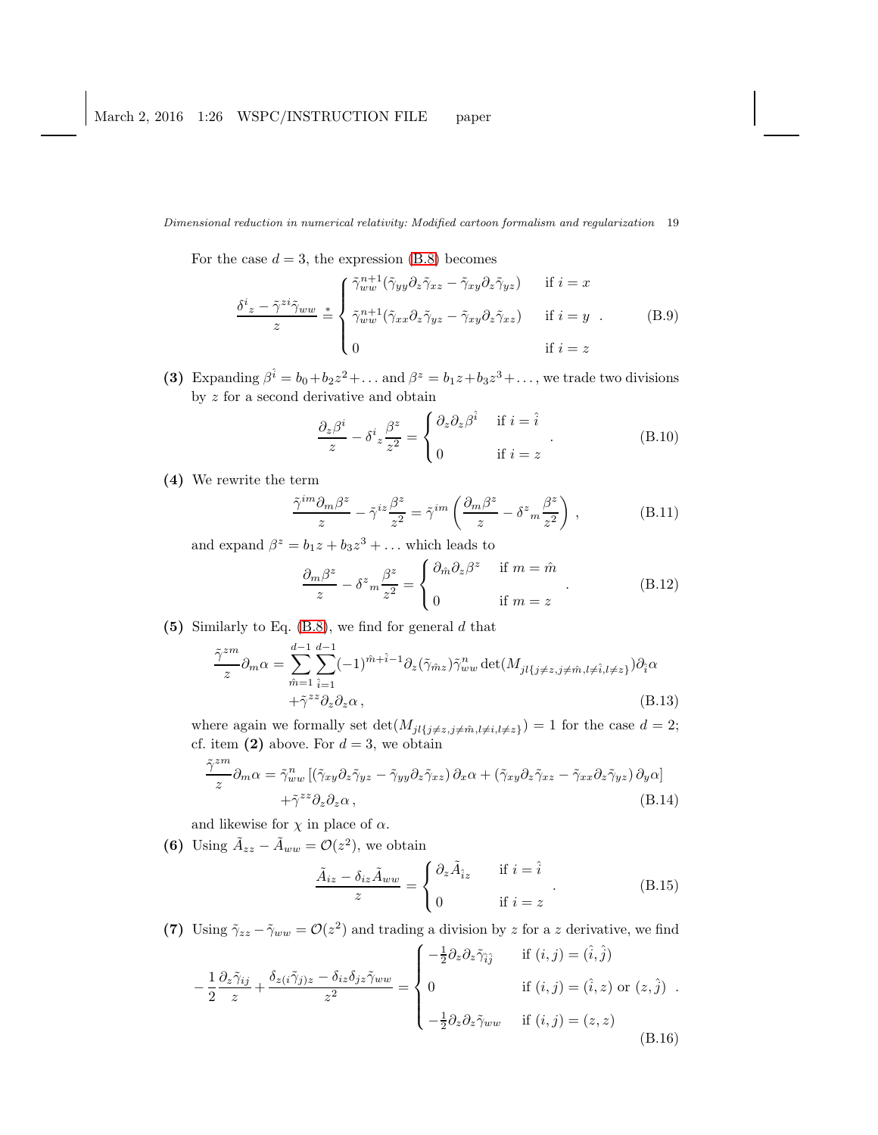For the case  $d = 3$ , the expression [\(B.8\)](#page-17-1) becomes

$$
\frac{\delta^{i} z - \tilde{\gamma}^{zi} \tilde{\gamma}_{ww}}{z} \stackrel{*}{=} \begin{cases} \tilde{\gamma}_{ww}^{n+1} (\tilde{\gamma}_{yy} \partial_z \tilde{\gamma}_{xz} - \tilde{\gamma}_{xy} \partial_z \tilde{\gamma}_{yz}) & \text{if } i = x \\ \tilde{\gamma}_{ww}^{n+1} (\tilde{\gamma}_{xx} \partial_z \tilde{\gamma}_{yz} - \tilde{\gamma}_{xy} \partial_z \tilde{\gamma}_{xz}) & \text{if } i = y \\ 0 & \text{if } i = z \end{cases} \tag{B.9}
$$

(3) Expanding  $\beta^{\hat{i}} = b_0 + b_2 z^2 + \dots$  and  $\beta^z = b_1 z + b_3 z^3 + \dots$ , we trade two divisions by z for a second derivative and obtain

$$
\frac{\partial_z \beta^i}{z} - \delta^i z \frac{\beta^z}{z^2} = \begin{cases} \partial_z \partial_z \beta^{\hat{i}} & \text{if } i = \hat{i} \\ 0 & \text{if } i = z \end{cases}
$$
 (B.10)

(4) We rewrite the term

$$
\frac{\tilde{\gamma}^{im}\partial_m\beta^z}{z} - \tilde{\gamma}^{iz}\frac{\beta^z}{z^2} = \tilde{\gamma}^{im}\left(\frac{\partial_m\beta^z}{z} - \delta^z{}_m\frac{\beta^z}{z^2}\right) ,\qquad (B.11)
$$

and expand  $\beta^z = b_1 z + b_3 z^3 + \dots$  which leads to

<span id="page-18-0"></span>
$$
\frac{\partial_m \beta^z}{z} - \delta^z m \frac{\beta^z}{z^2} = \begin{cases} \partial_{\hat{m}} \partial_z \beta^z & \text{if } m = \hat{m} \\ 0 & \text{if } m = z \end{cases} . \tag{B.12}
$$

(5) Similarly to Eq.  $(B.8)$ , we find for general d that

$$
\frac{\tilde{\gamma}^{zm}}{z} \partial_m \alpha = \sum_{\hat{m}=1}^{d-1} \sum_{\hat{i}=1}^{d-1} (-1)^{\hat{m}+\hat{i}-1} \partial_z(\tilde{\gamma}_{\hat{m}z}) \tilde{\gamma}_{ww}^n \det(M_{jl\{j \neq z, j \neq \hat{m}, l \neq \hat{i}, l \neq z\}}) \partial_{\hat{i}} \alpha + \tilde{\gamma}^{zz} \partial_z \partial_z \alpha ,
$$
\n(B.13)

where again we formally set  $\det(M_{jl\{j\neq z,j\neq m,l\neq i,l\neq z\}}) = 1$  for the case  $d = 2$ ; cf. item (2) above. For  $d = 3$ , we obtain

$$
\frac{\tilde{\gamma}^{zm}}{z} \partial_m \alpha = \tilde{\gamma}_{ww}^n \left[ (\tilde{\gamma}_{xy} \partial_z \tilde{\gamma}_{yz} - \tilde{\gamma}_{yy} \partial_z \tilde{\gamma}_{xz}) \partial_x \alpha + (\tilde{\gamma}_{xy} \partial_z \tilde{\gamma}_{xz} - \tilde{\gamma}_{xx} \partial_z \tilde{\gamma}_{yz}) \partial_y \alpha \right] + \tilde{\gamma}^{zz} \partial_z \partial_z \alpha ,
$$
\n(B.14)

and likewise for  $\chi$  in place of  $\alpha$ .

(6) Using  $\tilde{A}_{zz} - \tilde{A}_{ww} = \mathcal{O}(z^2)$ , we obtain

$$
\frac{\tilde{A}_{iz} - \delta_{iz}\tilde{A}_{ww}}{z} = \begin{cases} \partial_z \tilde{A}_{iz} & \text{if } i = \hat{i} \\ 0 & \text{if } i = z \end{cases}
$$
 (B.15)

(7) Using  $\tilde{\gamma}_{zz} - \tilde{\gamma}_{ww} = \mathcal{O}(z^2)$  and trading a division by z for a z derivative, we find if (i, j) = (ˆi, ˆj)

$$
-\frac{1}{2}\frac{\partial_z\tilde{\gamma}_{ij}}{z} + \frac{\delta_{z(i}\tilde{\gamma}_{j)z} - \delta_{iz}\delta_{jz}\tilde{\gamma}_{ww}}{z^2} = \begin{cases}\n-\frac{1}{2}\partial_z\partial_z\tilde{\gamma}_{ij} & \text{if } (i,j) = (\hat{i},\hat{j}) \\
0 & \text{if } (i,j) = (\hat{i},z) \text{ or } (z,\hat{j}) \\
-\frac{1}{2}\partial_z\partial_z\tilde{\gamma}_{ww} & \text{if } (i,j) = (z,z)\n\end{cases}
$$
\n(B.16)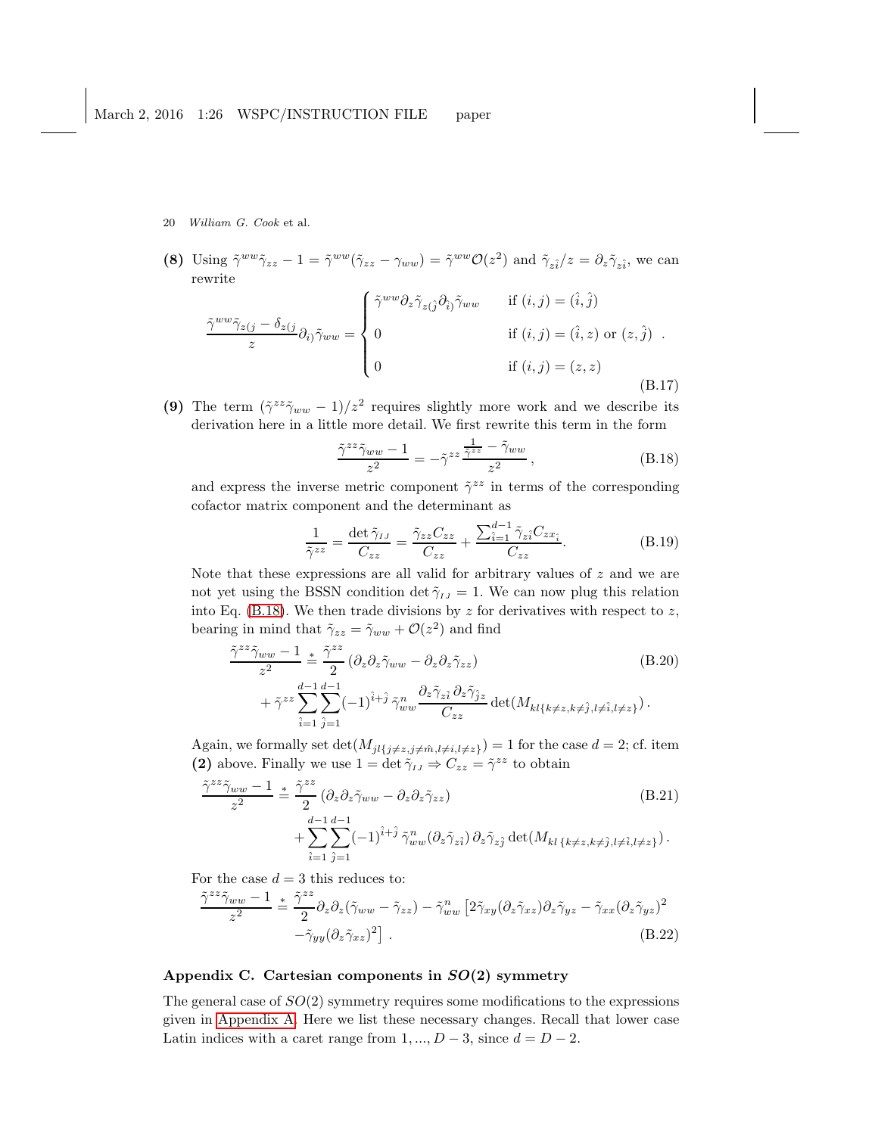(8) Using  $\tilde{\gamma}^{ww}\tilde{\gamma}_{zz} - 1 = \tilde{\gamma}^{ww}(\tilde{\gamma}_{zz} - \gamma_{ww}) = \tilde{\gamma}^{ww}\mathcal{O}(z^2)$  and  $\tilde{\gamma}_{z\hat{i}}/z = \partial_z \tilde{\gamma}_{z\hat{i}}$ , we can rewrite

$$
\frac{\tilde{\gamma}^{ww}\tilde{\gamma}_{z(j}-\delta_{z(j)}}{z}\partial_{i})\tilde{\gamma}_{ww} = \begin{cases} \tilde{\gamma}^{ww}\partial_{z}\tilde{\gamma}_{z(\hat{j}}\partial_{\hat{i}})\tilde{\gamma}_{ww} & \text{if } (i,j) = (\hat{i},\hat{j})\\ 0 & \text{if } (i,j) = (\hat{i},z) \text{ or } (z,\hat{j})\\ 0 & \text{if } (i,j) = (z,z) \end{cases} \tag{B.17}
$$

(9) The term  $(\tilde{\gamma}^{zz}\tilde{\gamma}_{ww} - 1)/z^2$  requires slightly more work and we describe its derivation here in a little more detail. We first rewrite this term in the form

<span id="page-19-1"></span>
$$
\frac{\tilde{\gamma}^{zz}\tilde{\gamma}_{ww}-1}{z^2} = -\tilde{\gamma}^{zz}\frac{\frac{1}{\tilde{\gamma}^{zz}} - \tilde{\gamma}_{ww}}{z^2},\tag{B.18}
$$

and express the inverse metric component  $\tilde{\gamma}^{zz}$  in terms of the corresponding cofactor matrix component and the determinant as

$$
\frac{1}{\tilde{\gamma}^{zz}} = \frac{\det \tilde{\gamma}_{IJ}}{C_{zz}} = \frac{\tilde{\gamma}_{zz} C_{zz}}{C_{zz}} + \frac{\sum_{i=1}^{d-1} \tilde{\gamma}_{zi} C_{zxi}}{C_{zz}}.
$$
(B.19)

Note that these expressions are all valid for arbitrary values of  $z$  and we are not yet using the BSSN condition det  $\tilde{\gamma}_{IJ} = 1$ . We can now plug this relation into Eq. [\(B.18\)](#page-19-1). We then trade divisions by  $z$  for derivatives with respect to  $z$ , bearing in mind that  $\tilde{\gamma}_{zz} = \tilde{\gamma}_{ww} + \mathcal{O}(z^2)$  and find

$$
\frac{\tilde{\gamma}^{zz}\tilde{\gamma}_{ww}-1}{z^2} \stackrel{\ast}{=} \frac{\tilde{\gamma}^{zz}}{2} \left(\partial_z \partial_z \tilde{\gamma}_{ww} - \partial_z \partial_z \tilde{\gamma}_{zz}\right) \tag{B.20}
$$
\n
$$
+ \tilde{\gamma}^{zz} \sum_{\hat{i}=1}^{d-1} \sum_{\hat{j}=1}^{d-1} (-1)^{\hat{i}+\hat{j}} \tilde{\gamma}_{ww}^n \frac{\partial_z \tilde{\gamma}_{\hat{z}\hat{i}} \partial_z \tilde{\gamma}_{\hat{j}z}}{C_{zz}} \det(M_{kl\{k\neq z,k\neq \hat{j},l\neq \hat{i},l\neq z\}}).
$$

Again, we formally set  $\det(M_{jl\{j\neq z,j\neq \hat{m},l\neq i,l\neq z\}}) = 1$  for the case  $d = 2$ ; cf. item (2) above. Finally we use  $1 = \det \tilde{\gamma}_{IJ} \Rightarrow C_{zz} = \tilde{\gamma}^{zz}$  to obtain

$$
\frac{\tilde{\gamma}^{zz}\tilde{\gamma}_{ww}-1}{z^2} \stackrel{\ast}{=} \frac{\tilde{\gamma}^{zz}}{2} (\partial_z \partial_z \tilde{\gamma}_{ww} - \partial_z \partial_z \tilde{\gamma}_{zz}) \qquad (B.21)
$$
\n
$$
+ \sum_{\hat{i}=1}^{d-1} \sum_{\hat{j}=1}^{d-1} (-1)^{\hat{i}+\hat{j}} \tilde{\gamma}_{ww}^n (\partial_z \tilde{\gamma}_{z\hat{i}}) \partial_z \tilde{\gamma}_{z\hat{j}} \det(M_{kl\{k\neq z,k\neq \hat{j},l\neq \hat{i},l\neq z\}}).
$$

For the case  $d = 3$  this reduces to:

$$
\frac{\tilde{\gamma}^{zz}\tilde{\gamma}_{ww}-1}{z^2} \stackrel{\ast}{=} \frac{\tilde{\gamma}^{zz}}{2} \partial_z \partial_z (\tilde{\gamma}_{ww} - \tilde{\gamma}_{zz}) - \tilde{\gamma}_{ww}^n \left[2\tilde{\gamma}_{xy}(\partial_z \tilde{\gamma}_{xz})\partial_z \tilde{\gamma}_{yz} - \tilde{\gamma}_{xx}(\partial_z \tilde{\gamma}_{yz})^2 - \tilde{\gamma}_{yy}(\partial_z \tilde{\gamma}_{xz})^2\right].
$$
\n(B.22)

# <span id="page-19-0"></span>Appendix C. Cartesian components in  $SO(2)$  symmetry

The general case of  $SO(2)$  symmetry requires some modifications to the expressions given in [Appendix A.](#page-15-0) Here we list these necessary changes. Recall that lower case Latin indices with a caret range from  $1, ..., D-3$ , since  $d = D-2$ .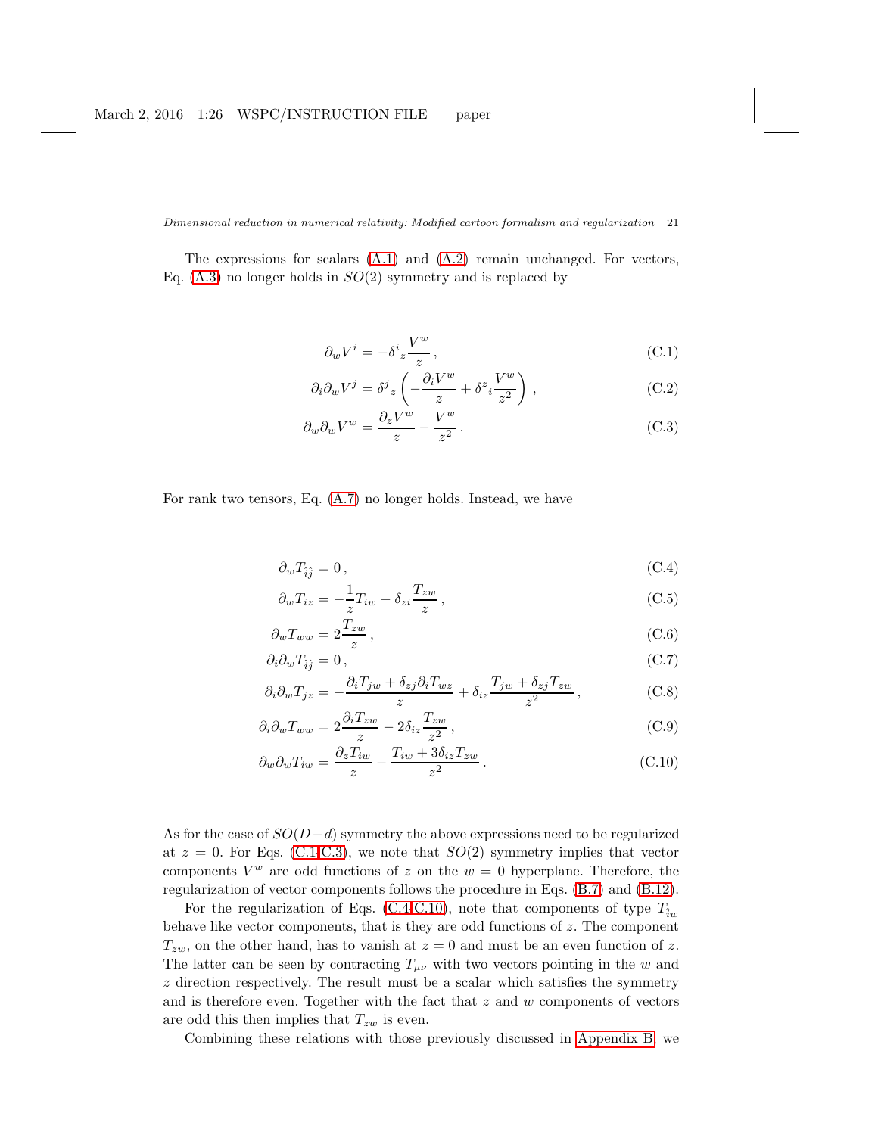The expressions for scalars [\(A.1\)](#page-15-1) and [\(A.2\)](#page-15-1) remain unchanged. For vectors, Eq.  $(A.3)$  no longer holds in  $SO(2)$  symmetry and is replaced by

<span id="page-20-0"></span>
$$
\partial_w V^i = -\delta^i_z \frac{V^w}{z},\tag{C.1}
$$

$$
\partial_i \partial_w V^j = \delta^j{}_z \left( -\frac{\partial_i V^w}{z} + \delta^z{}_i \frac{V^w}{z^2} \right) , \qquad (C.2)
$$

$$
\partial_w \partial_w V^w = \frac{\partial_z V^w}{z} - \frac{V^w}{z^2} \,. \tag{C.3}
$$

For rank two tensors, Eq. [\(A.7\)](#page-15-1) no longer holds. Instead, we have

<span id="page-20-1"></span>
$$
\partial_w T_{\hat{i}\hat{j}} = 0, \tag{C.4}
$$

$$
\partial_w T_{iz} = -\frac{1}{z} T_{iw} - \delta_{zi} \frac{T_{zw}}{z},\tag{C.5}
$$

$$
\partial_w T_{ww} = 2 \frac{T_{zw}}{z},\tag{C.6}
$$

$$
\partial_i \partial_w T_{\hat{i}\hat{j}} = 0, \tag{C.7}
$$
  

$$
\partial_x T_{i+1} + \delta_i \partial_x T_{j+1} + \delta_i T_{j+1} + \delta_i T_{j+1}
$$

$$
\partial_i \partial_w T_{jz} = -\frac{\partial_i T_{jw} + \delta_{zj} \partial_i T_{wz}}{z} + \delta_{iz} \frac{T_{jw} + \delta_{zj} T_{zw}}{z^2}, \tag{C.8}
$$

$$
\partial_i \partial_w T_{ww} = 2 \frac{\partial_i T_{zw}}{z} - 2 \delta_{iz} \frac{T_{zw}}{z^2},\tag{C.9}
$$

$$
\partial_w \partial_w T_{iw} = \frac{\partial_z T_{iw}}{z} - \frac{T_{iw} + 3\delta_{iz} T_{zw}}{z^2} \,. \tag{C.10}
$$

As for the case of  $SO(D-d)$  symmetry the above expressions need to be regularized at  $z = 0$ . For Eqs. [\(C.1-C.3\)](#page-20-0), we note that  $SO(2)$  symmetry implies that vector components  $V^w$  are odd functions of z on the  $w = 0$  hyperplane. Therefore, the regularization of vector components follows the procedure in Eqs. [\(B.7\)](#page-17-2) and [\(B.12\)](#page-18-0).

For the regularization of Eqs. [\(C.4-C.10\)](#page-20-1), note that components of type  $T_{\hat{i}w}$ behave like vector components, that is they are odd functions of z. The component  $T_{zw}$ , on the other hand, has to vanish at  $z = 0$  and must be an even function of z. The latter can be seen by contracting  $T_{\mu\nu}$  with two vectors pointing in the w and  $z$  direction respectively. The result must be a scalar which satisfies the symmetry and is therefore even. Together with the fact that  $z$  and  $w$  components of vectors are odd this then implies that  $T_{zw}$  is even.

Combining these relations with those previously discussed in [Appendix](#page-16-0) B, we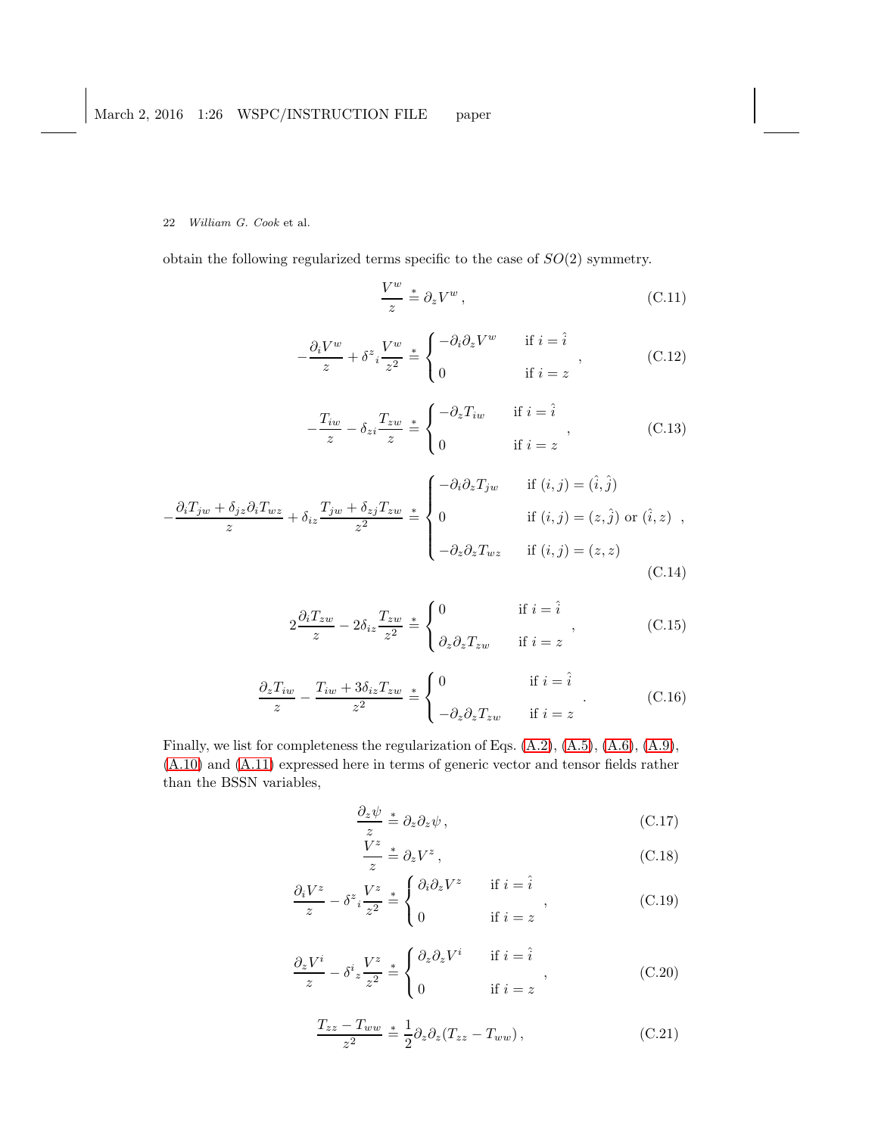obtain the following regularized terms specific to the case of SO(2) symmetry.

$$
\frac{V^w}{z} \stackrel{*}{=} \partial_z V^w \,, \tag{C.11}
$$

$$
-\frac{\partial_i V^w}{z} + \delta^z i \frac{V^w}{z^2} \stackrel{*}{=} \begin{cases} -\partial_i \partial_z V^w & \text{if } i = \hat{i} \\ 0 & \text{if } i = z \end{cases}, \tag{C.12}
$$

$$
-\frac{T_{iw}}{z} - \delta_{zi} \frac{T_{zw}}{z} \stackrel{*}{=} \begin{cases} -\partial_z T_{iw} & \text{if } i = \hat{i} \\ 0 & \text{if } i = z \end{cases}, \tag{C.13}
$$

$$
-\frac{\partial_i T_{jw} + \delta_{jz}\partial_i T_{wz}}{z} + \delta_{iz} \frac{T_{jw} + \delta_{zj} T_{zw}}{z^2} \stackrel{*}{=} \begin{cases}\n-\partial_i \partial_z T_{jw} & \text{if } (i, j) = (\hat{i}, \hat{j}) \\
0 & \text{if } (i, j) = (z, \hat{j}) \text{ or } (\hat{i}, z) \\
-\partial_z \partial_z T_{wz} & \text{if } (i, j) = (z, z)\n\end{cases}
$$
\n(C.14)

$$
2\frac{\partial_i T_{zw}}{z} - 2\delta_{iz}\frac{T_{zw}}{z^2} \stackrel{*}{=} \begin{cases} 0 & \text{if } i = \hat{i} \\ \partial_z \partial_z T_{zw} & \text{if } i = z \end{cases}, \tag{C.15}
$$

$$
\frac{\partial_z T_{iw}}{z} - \frac{T_{iw} + 3\delta_{iz}T_{zw}}{z^2} \stackrel{*}{=} \begin{cases} 0 & \text{if } i = \hat{i} \\ -\partial_z \partial_z T_{zw} & \text{if } i = z \end{cases} . \tag{C.16}
$$

Finally, we list for completeness the regularization of Eqs. [\(A.2\)](#page-15-1), [\(A.5\)](#page-15-1), [\(A.6\)](#page-15-1), [\(A.9\)](#page-15-1), [\(A.10\)](#page-15-1) and [\(A.11\)](#page-15-1) expressed here in terms of generic vector and tensor fields rather than the BSSN variables,

$$
\frac{\partial_z \psi}{z} \stackrel{*}{=} \partial_z \partial_z \psi \,, \tag{C.17}
$$

$$
\frac{V^z}{z} \stackrel{*}{=} \partial_z V^z \,, \tag{C.18}
$$

$$
\frac{\partial_i V^z}{z} - \delta^z i \frac{V^z}{z^2} \stackrel{*}{=} \begin{cases} \partial_i \partial_z V^z & \text{if } i = \hat{i} \\ 0 & \text{if } i = z \end{cases}, \tag{C.19}
$$

$$
\frac{\partial_z V^i}{z} - \delta^i z \frac{V^z}{z^2} \stackrel{*}{=} \begin{cases} \partial_z \partial_z V^i & \text{if } i = \hat{i} \\ 0 & \text{if } i = z \end{cases}, \tag{C.20}
$$

$$
\frac{T_{zz} - T_{ww}}{z^2} \stackrel{*}{=} \frac{1}{2} \partial_z \partial_z (T_{zz} - T_{ww}), \qquad (C.21)
$$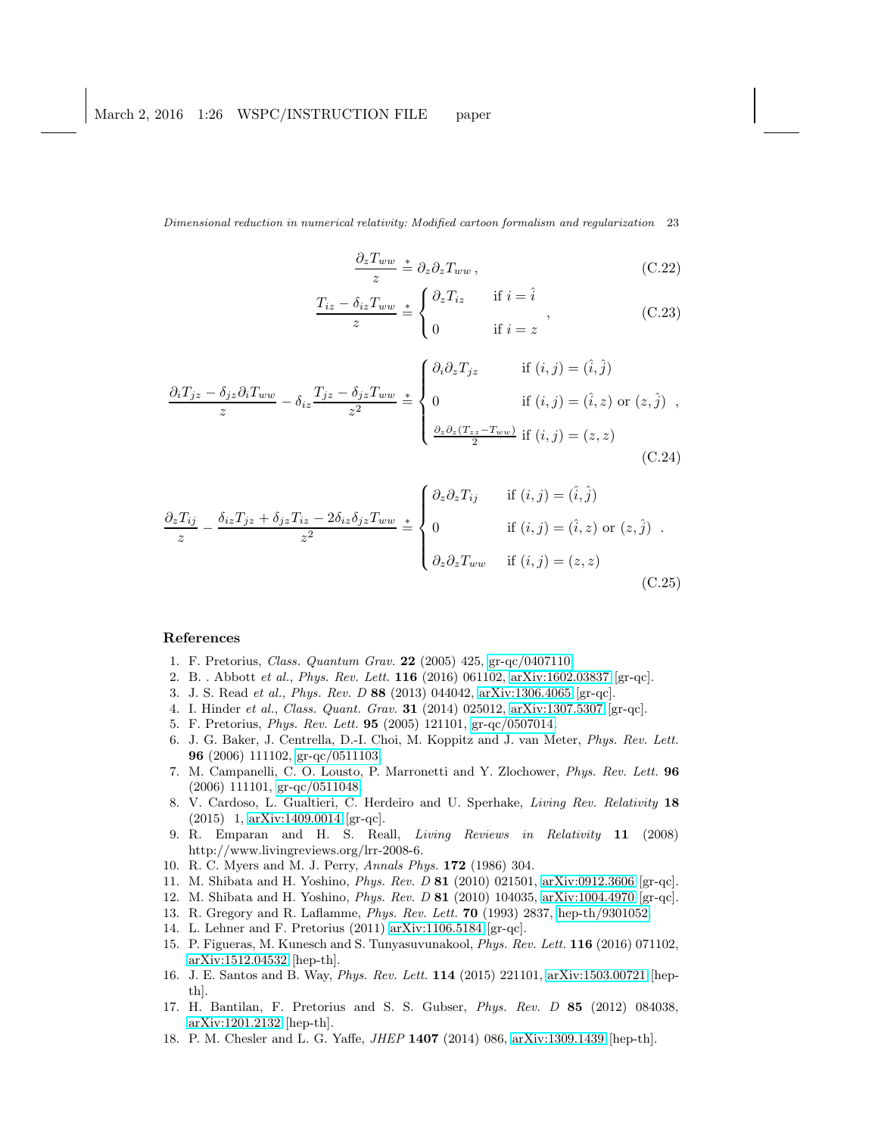$$
\frac{\partial_z T_{ww}}{z} \stackrel{*}{=} \partial_z \partial_z T_{ww} \,, \tag{C.22}
$$

$$
\frac{T_{iz} - \delta_{iz} T_{ww}}{z} \stackrel{*}{=} \begin{cases} \partial_z T_{iz} & \text{if } i = \hat{i} \\ 0 & \text{if } i = z \end{cases} \tag{C.23}
$$

$$
\frac{\partial_i T_{jz} - \delta_{jz} \partial_i T_{ww}}{z} - \delta_{iz} \frac{T_{jz} - \delta_{jz} T_{ww}}{z^2} \stackrel{*}{=} \begin{cases} \partial_i \partial_z T_{jz} & \text{if } (i, j) = (\hat{i}, \hat{j}) \\ 0 & \text{if } (i, j) = (\hat{i}, z) \text{ or } (z, \hat{j}) \\ \frac{\partial_z \partial_z (T_{zz} - T_{ww})}{2} & \text{if } (i, j) = (z, z) \end{cases}
$$
(C.24)

$$
\frac{\partial_z T_{ij}}{z} - \frac{\delta_{iz} T_{jz} + \delta_{jz} T_{iz} - 2\delta_{iz}\delta_{jz} T_{ww}}{z^2} \stackrel{*}{=} \begin{cases} \partial_z \partial_z T_{ij} & \text{if } (i, j) = (\hat{i}, \hat{j}) \\ 0 & \text{if } (i, j) = (\hat{i}, z) \text{ or } (z, \hat{j}) \\ \partial_z \partial_z T_{ww} & \text{if } (i, j) = (z, z) \end{cases}
$$
(C.25)

### <span id="page-22-0"></span>References

- <span id="page-22-1"></span>1. F. Pretorius, Class. Quantum Grav. 22 (2005) 425, [gr-qc/0407110.](http://arxiv.org/abs/gr-qc/0407110)
- <span id="page-22-2"></span>2. B. . Abbott et al., Phys. Rev. Lett. 116 (2016) 061102, [arXiv:1602.03837](http://arxiv.org/abs/1602.03837) [gr-qc].
- <span id="page-22-3"></span>3. J. S. Read et al., Phys. Rev. D 88 (2013) 044042, [arXiv:1306.4065](http://arxiv.org/abs/1306.4065) [gr-qc].
- <span id="page-22-4"></span>4. I. Hinder et al., Class. Quant. Grav. 31 (2014) 025012, [arXiv:1307.5307](http://arxiv.org/abs/1307.5307) [gr-qc].
- 5. F. Pretorius, Phys. Rev. Lett. 95 (2005) 121101, [gr-qc/0507014.](http://arxiv.org/abs/gr-qc/0507014)
- 6. J. G. Baker, J. Centrella, D.-I. Choi, M. Koppitz and J. van Meter, Phys. Rev. Lett. 96 (2006) 111102, [gr-qc/0511103.](http://arxiv.org/abs/gr-qc/0511103)
- <span id="page-22-5"></span>7. M. Campanelli, C. O. Lousto, P. Marronetti and Y. Zlochower, Phys. Rev. Lett. 96 (2006) 111101, [gr-qc/0511048.](http://arxiv.org/abs/gr-qc/0511048)
- <span id="page-22-6"></span>8. V. Cardoso, L. Gualtieri, C. Herdeiro and U. Sperhake, Living Rev. Relativity 18 (2015) 1, [arXiv:1409.0014](http://arxiv.org/abs/1409.0014) [gr-qc].
- <span id="page-22-7"></span>9. R. Emparan and H. S. Reall, Living Reviews in Relativity 11 (2008) http://www.livingreviews.org/lrr-2008-6.
- <span id="page-22-16"></span><span id="page-22-8"></span>10. R. C. Myers and M. J. Perry, Annals Phys. 172 (1986) 304.
- <span id="page-22-9"></span>11. M. Shibata and H. Yoshino, Phys. Rev. D 81 (2010) 021501, [arXiv:0912.3606](http://arxiv.org/abs/0912.3606) [gr-qc].
- <span id="page-22-10"></span>12. M. Shibata and H. Yoshino, Phys. Rev. D 81 (2010) 104035, [arXiv:1004.4970](http://arxiv.org/abs/1004.4970) [gr-qc].
- <span id="page-22-11"></span>13. R. Gregory and R. Laflamme, Phys. Rev. Lett. 70 (1993) 2837, [hep-th/9301052.](http://arxiv.org/abs/hep-th/9301052)
- <span id="page-22-12"></span>14. L. Lehner and F. Pretorius (2011) [arXiv:1106.5184](http://arxiv.org/abs/1106.5184) [gr-qc].
- 15. P. Figueras, M. Kunesch and S. Tunyasuvunakool, Phys. Rev. Lett. 116 (2016) 071102, [arXiv:1512.04532](http://arxiv.org/abs/1512.04532) [hep-th].
- <span id="page-22-13"></span>16. J. E. Santos and B. Way, Phys. Rev. Lett. 114 (2015) 221101, [arXiv:1503.00721](http://arxiv.org/abs/1503.00721) [hepth].
- <span id="page-22-14"></span>17. H. Bantilan, F. Pretorius and S. S. Gubser, Phys. Rev. D 85 (2012) 084038, [arXiv:1201.2132](http://arxiv.org/abs/1201.2132) [hep-th].
- <span id="page-22-15"></span>18. P. M. Chesler and L. G. Yaffe, JHEP 1407 (2014) 086, [arXiv:1309.1439](http://arxiv.org/abs/1309.1439) [hep-th].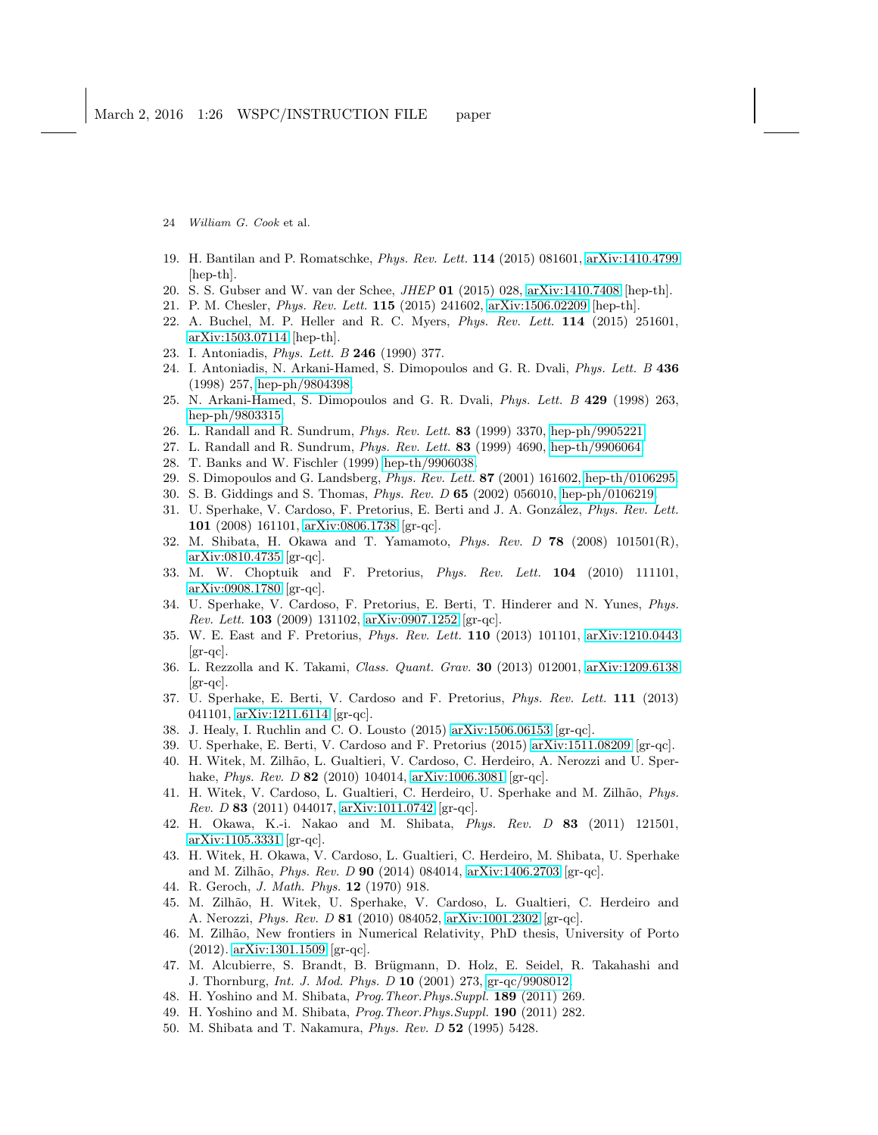- 19. H. Bantilan and P. Romatschke, Phys. Rev. Lett. 114 (2015) 081601, [arXiv:1410.4799](http://arxiv.org/abs/1410.4799) [hep-th].
- 20. S. S. Gubser and W. van der Schee, JHEP 01 (2015) 028, [arXiv:1410.7408](http://arxiv.org/abs/1410.7408) [hep-th].
- <span id="page-23-0"></span>21. P. M. Chesler, Phys. Rev. Lett. 115 (2015) 241602, [arXiv:1506.02209](http://arxiv.org/abs/1506.02209) [hep-th].
- 22. A. Buchel, M. P. Heller and R. C. Myers, Phys. Rev. Lett. 114 (2015) 251601, [arXiv:1503.07114](http://arxiv.org/abs/1503.07114) [hep-th].
- <span id="page-23-1"></span>23. I. Antoniadis, Phys. Lett. B 246 (1990) 377.
- 24. I. Antoniadis, N. Arkani-Hamed, S. Dimopoulos and G. R. Dvali, Phys. Lett. B 436 (1998) 257, [hep-ph/9804398.](http://arxiv.org/abs/hep-ph/9804398)
- <span id="page-23-2"></span>25. N. Arkani-Hamed, S. Dimopoulos and G. R. Dvali, Phys. Lett. B 429 (1998) 263, [hep-ph/9803315.](http://arxiv.org/abs/hep-ph/9803315)
- <span id="page-23-4"></span><span id="page-23-3"></span>26. L. Randall and R. Sundrum, Phys. Rev. Lett. 83 (1999) 3370, [hep-ph/9905221.](http://arxiv.org/abs/hep-ph/9905221)
- <span id="page-23-5"></span>27. L. Randall and R. Sundrum, Phys. Rev. Lett. 83 (1999) 4690, [hep-th/9906064.](http://arxiv.org/abs/hep-th/9906064)
- 28. T. Banks and W. Fischler (1999) [hep-th/9906038.](http://arxiv.org/abs/hep-th/9906038)
- <span id="page-23-6"></span>29. S. Dimopoulos and G. Landsberg, Phys. Rev. Lett. 87 (2001) 161602, [hep-th/0106295.](http://arxiv.org/abs/hep-th/0106295)
- <span id="page-23-7"></span>30. S. B. Giddings and S. Thomas, Phys. Rev. D 65 (2002) 056010, [hep-ph/0106219.](http://arxiv.org/abs/hep-ph/0106219)
- 31. U. Sperhake, V. Cardoso, F. Pretorius, E. Berti and J. A. González, Phys. Rev. Lett. 101 (2008) 161101, [arXiv:0806.1738](http://arxiv.org/abs/0806.1738) [gr-qc].
- 32. M. Shibata, H. Okawa and T. Yamamoto, Phys. Rev. D 78 (2008) 101501(R), [arXiv:0810.4735](http://arxiv.org/abs/0810.4735) [gr-qc].
- 33. M. W. Choptuik and F. Pretorius, Phys. Rev. Lett. 104 (2010) 111101, [arXiv:0908.1780](http://arxiv.org/abs/0908.1780) [gr-qc].
- 34. U. Sperhake, V. Cardoso, F. Pretorius, E. Berti, T. Hinderer and N. Yunes, Phys. Rev. Lett. 103 (2009) 131102, [arXiv:0907.1252](http://arxiv.org/abs/0907.1252) [gr-qc].
- 35. W. E. East and F. Pretorius, Phys. Rev. Lett. 110 (2013) 101101, [arXiv:1210.0443](http://arxiv.org/abs/1210.0443)  $\left[\text{gr-qc}\right]$ .
- 36. L. Rezzolla and K. Takami, Class. Quant. Grav. 30 (2013) 012001, [arXiv:1209.6138](http://arxiv.org/abs/1209.6138) [gr-qc].
- 37. U. Sperhake, E. Berti, V. Cardoso and F. Pretorius, Phys. Rev. Lett. 111 (2013) 041101, [arXiv:1211.6114](http://arxiv.org/abs/1211.6114) [gr-qc].
- <span id="page-23-8"></span>38. J. Healy, I. Ruchlin and C. O. Lousto (2015) [arXiv:1506.06153](http://arxiv.org/abs/1506.06153) [gr-qc].
- <span id="page-23-9"></span>39. U. Sperhake, E. Berti, V. Cardoso and F. Pretorius (2015) [arXiv:1511.08209](http://arxiv.org/abs/1511.08209) [gr-qc].
- 40. H. Witek, M. Zilhão, L. Gualtieri, V. Cardoso, C. Herdeiro, A. Nerozzi and U. Sperhake, *Phys. Rev. D* 82 (2010) 104014, [arXiv:1006.3081](http://arxiv.org/abs/1006.3081) [gr-qc].
- 41. H. Witek, V. Cardoso, L. Gualtieri, C. Herdeiro, U. Sperhake and M. Zilhão, Phys. *Rev. D* 83 (2011) 044017,  $arXiv:1011.0742$  [gr-qc].
- <span id="page-23-17"></span>42. H. Okawa, K.-i. Nakao and M. Shibata, Phys. Rev. D 83 (2011) 121501, [arXiv:1105.3331](http://arxiv.org/abs/1105.3331) [gr-qc].
- <span id="page-23-10"></span>43. H. Witek, H. Okawa, V. Cardoso, L. Gualtieri, C. Herdeiro, M. Shibata, U. Sperhake and M. Zilhão, *Phys. Rev. D* 90 (2014) 084014, [arXiv:1406.2703](http://arxiv.org/abs/1406.2703) [gr-qc].
- <span id="page-23-18"></span><span id="page-23-11"></span>44. R. Geroch, J. Math. Phys. 12 (1970) 918.
- 45. M. Zilh˜ao, H. Witek, U. Sperhake, V. Cardoso, L. Gualtieri, C. Herdeiro and A. Nerozzi, Phys. Rev. D 81 (2010) 084052, [arXiv:1001.2302](http://arxiv.org/abs/1001.2302) [gr-qc].
- <span id="page-23-12"></span>46. M. Zilhão, New frontiers in Numerical Relativity, PhD thesis, University of Porto (2012). [arXiv:1301.1509](http://arxiv.org/abs/1301.1509) [gr-qc].
- <span id="page-23-13"></span>47. M. Alcubierre, S. Brandt, B. Brügmann, D. Holz, E. Seidel, R. Takahashi and J. Thornburg, Int. J. Mod. Phys. D 10 (2001) 273, [gr-qc/9908012.](http://arxiv.org/abs/gr-qc/9908012)
- <span id="page-23-15"></span><span id="page-23-14"></span>48. H. Yoshino and M. Shibata, Prog.Theor.Phys.Suppl. 189 (2011) 269.
- <span id="page-23-16"></span>49. H. Yoshino and M. Shibata, *Prog. Theor. Phys. Suppl.* **190** (2011) 282.
- 50. M. Shibata and T. Nakamura, Phys. Rev. D 52 (1995) 5428.